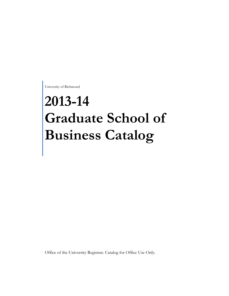University of Richmond

# **2013-14 Graduate School of Business Catalog**

Office of the University Registrar. Catalog for Office Use Only.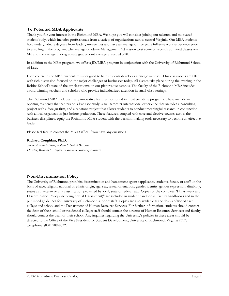# **To Potential MBA Applicants**

Thank you for your interest in the Richmond MBA. We hope you will consider joining our talented and motivated student body, which includes professionals from a variety of organizations across central Virginia. Our MBA students hold undergraduate degrees from leading universities and have an average of five years full-time work experience prior to enrolling in the program. The average Graduate Management Admission Test score of recently admitted classes was 610 and the average undergraduate grade-point average exceeded 3.20.

In addition to the MBA program, we offer a JD/MBA program in conjunction with the University of Richmond School of Law.

Each course in the MBA curriculum is designed to help students develop a strategic mindset. Our classrooms are filled with rich discussion focused on the major challenges of businesses today. All classes take place during the evening in the Robins School's state-of-the-art classrooms on our picturesque campus. The faculty of the Richmond MBA includes award-winning teachers and scholars who provide individualized attention in small-class settings.

The Richmond MBA includes many innovative features not found in most part-time programs. These include an opening residency that centers on a live case study, a full-semester international experience that includes a consulting project with a foreign firm, and a capstone project that allows students to conduct meaningful research in conjunction with a local organization just before graduation. These features, coupled with core and elective courses across the business disciplines, equip the Richmond MBA student with the decision-making tools necessary to become an effective leader.

Please feel free to contact the MBA Office if you have any questions.

# **Richard Coughlan, Ph.D.**

*Senior Associate Dean, Robins School of Business Director, Richard S. Reynolds Graduate School of Business*

# **Non-Discrimination Policy**

The University of Richmond prohibits discrimination and harassment against applicants, students, faculty or staff on the basis of race, religion, national or ethnic origin, age, sex, sexual orientation, gender identity, gender expression, disability, status as a veteran or any classification protected by local, state or federal law. Copies of the complete "Harassment and Discrimination Policy (including Sexual Harassment)" are included in student handbooks, faculty handbooks and in the published guidelines for University of Richmond support staff. Copies are also available at the dean's office of each college and school and the Department of Human Resource Services. For further information, students should contact the dean of their school or residential college; staff should contact the director of Human Resource Services; and faculty should contact the dean of their school. Any inquiries regarding the University's policies in these areas should be directed to the Office of the Vice President for Student Development, University of Richmond, Virginia 23173. Telephone: (804) 289-8032.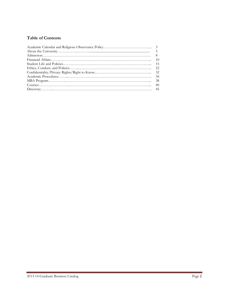# **Table of Contents**

| $Course.$ 40 |  |
|--------------|--|
|              |  |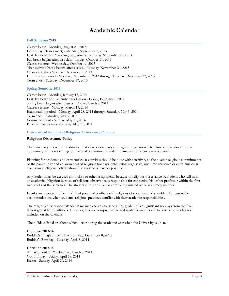# **Academic Calendar**

#### **Fall Semester 2013**

Classes begin - Monday, August 26, 2013 Labor Day (classes meet) - Monday, September 2, 2013 Last day to file for May/August graduation - Friday, September 27, 2013 Fall break begins after last class - Friday, October 11, 2013 Classes resume - Wednesday, October 16, 2013 Thanksgiving break begins after classes - Tuesday, November 26, 2013 Classes resume - Monday, December 2, 2013 Examination period - Monday, December 9, 2013 through Tuesday, December 17, 2013 Term ends - Tuesday, December 17, 2013

#### **Spring Semester 2014**

Classes begin - Monday, January 13, 2014 Last day to file for December graduation - Friday, February 7, 2014 Spring break begins after classes - Friday, March 7, 2014 Classes resume - Monday, March 17, 2014 Examination period - Monday, April 28, 2014 through Saturday, May 3, 2014 Term ends - Saturday, May 3, 2014 Commencement - Sunday, May 11, 2014 Baccalaureate Service - Sunday, May 11, 2014

#### **University of Richmond Religious Observance Calendar**

#### **Religious Observance Policy**

The University is a secular institution that values a diversity of religious expression. The University is also an active community with a wide range of personal commitments and academic and extracurricular activities.

Planning for academic and extracurricular activities should be done with sensitivity to the diverse religious commitments of the community and an awareness of religious holidays. Scheduling large-scale, one-time academic or extra-curricular events on a religious holiday should be avoided whenever possible.

Any student may be excused from class or other assignments because of religious observance. A student who will miss an academic obligation because of religious observance is responsible for contacting his or her professor within the first two weeks of the semester. The student is responsible for completing missed work in a timely manner.

Faculty are expected to be mindful of potential conflicts with religious observances and should make reasonable accommodations when students' religious practices conflict with their academic responsibilities.

The religious observance calendar is meant to serve as a scheduling guide. It lists significant holidays from the five largest global faith traditions. However, it is not comprehensive and students may choose to observe a holiday not included on the calendar.

The holidays listed are those which occur during the academic year when the University is open.

#### **Buddhist 2013-14**

Buddha's Enlightenment Day - Sunday, December 8, 2013 Buddha's Birthday - Tuesday, April 8, 2014

#### **Christian 2013-14**

Ash Wednesday - Wednesday, March 5, 2014 Good Friday - Friday, April 18, 2014 Easter - Sunday, April 20, 2014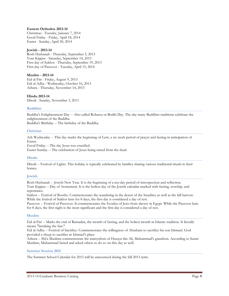#### **Eastern Orthodox 2013-14**

Christmas - Tuesday, January 7, 2014 Good Friday - Friday, April 18, 2014 Easter - Sunday, April 20, 2014

#### **Jewish - 2013-14**

Rosh Hashanah - Thursday, September 5, 2013 Yom Kippur - Saturday, September 14, 2013 First day of Sukkot - Thursday, September 19, 2013 First day of Passover - Tuesday, April 15, 2014

#### **Muslim - 2013-14**

Eid al-Fitr - Friday, August 9, 2013 Eid al-Adha - Wednesday, October 16, 2013 Ashura - Thursday, November 14, 2013

#### **Hindu 2013-14**

Diwali - Sunday, November 3, 2013

#### **Buddhist**

Buddha's Enlightenment Day -- Also called Rohatsu or Bodhi Day. The day many Buddhist traditions celebrate the enlightenment of the Buddha.

Buddha's Birthday -- The birthday of the Buddha.

#### **Christian**

Ash Wednesday -- This day marks the beginning of Lent, a six week period of prayer and fasting in anticipation of Easter.

Good Friday -- The day Jesus was crucified.

Easter Sunday -- The celebration of Jesus being raised from the dead.

# **Hindu**

Diwali -- Festival of Lights. This holiday is typically celebrated by families sharing various traditional rituals in their homes.

# **Jewish**

Rosh Hashanah -- Jewish New Year. It is the beginning of a ten-day period of introspection and reflection. Yom Kippur -- Day of Atonement. It is the holiest day of the Jewish calendar marked with fasting, worship, and repentance.

Sukkot -- Festival of Booths. Commemorates the wandering in the desert of the Israelites as well as the fall harvest. While the festival of Sukkot lasts for 8 days, the first day is considered a day of rest.

Passover -- Festival of Passover. It commemorates the Exodus of Jews from slavery in Egypt. While the Passover lasts for 8 days, the first night is the most significant and the first day is considered a day of rest.

#### **Muslim**

Eid al-Fitr -- Marks the end of Ramadan, the month of fasting, and the holiest month in Islamic tradition. It literally means "breaking the fast."

Eid al-Adha -- Festival of Sacrifice. Commemorates the willingness of Abraham to sacrifice his son Ishmael. God provided a sheep to sacrifice in Ishmael's place

Ashura -- Shi'a Muslims commemorate the martyrdom of Husayn ibn Ali, Muhammad's grandson. According to Sunni Muslims, Muhammad fasted and asked others to do so on this day as well.

#### **Summer Session 2014**

The Summer School Calendar for 2013 will be announced during the fall 2013 term.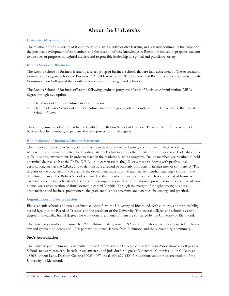# **About the University**

# **University Mission Statement**

The mission of the University of Richmond is to sustain a collaborative learning and research community that supports the personal development of its members and the creation of new knowledge. A Richmond education prepares students to live lives of purpose, thoughtful inquiry, and responsible leadership in a global and pluralistic society.

# **Robins School of Business**

The Robins School of Business is among a select group of business schools that are fully accredited by The Association to Advance Collegiate Schools of Business (AACSB International). The University of Richmond also is accredited by the Commission on Colleges of the Southern Association of Colleges and Schools.

The Robins School of Business offers the following graduate programs Master of Business Administration (MBA) degree through two options

- 1. The Master of Business Administration program
- 2. The Juris Doctor/Master of Business Administration program (offered jointly with the University of Richmond School of Law)

These programs are administered by the faculty of the Robins School of Business. There are 51 full-time school of business faculty members, 96 percent of whom possess terminal degrees.

# **Robins School of Business Mission Statement**

The mission of the Robins School of Business is to develop an active learning community in which teaching, scholarship, and service are integrated to stimulate intellectual inquiry as the foundation for responsible leadership in the global business environment. In order to teach in the graduate business programs, faculty members are required to hold a terminal degree, such as the Ph.D., D.B.A. or, in certain cases, the J.D. or a master's degree with professional certification, such as the C.P.A., and to demonstrate a record of scholarly productivity in their area of competency. The director of the program and the chair of the department must approve each faculty member teaching a course in the department's area. The Robins School is advised by the executive advisory council, which is composed of business executives occupying policy-level positions in their organizations. The corporations represented in the executive advisory council are a cross-section of firms located in central Virginia. Through the merger of thought among business academicians and business practitioners, the graduate business programs are dynamic, challenging, and practical.

# **Organization and Accreditation**

Five academic schools and two coordinate colleges form the University of Richmond, with authority and responsibility vested legally in the Board of Trustees and the president of the University. The several colleges and schools award no degrees individually, but all degrees for work done in any one of them are conferred by the University of Richmond.

The University enrolls approximately 2,900 full-time undergraduates, 92 percent of whom live on campus; 600 full-time law and graduate students; and 1,300 part-time students, largely from Richmond and the surrounding community.

# **SACS Accreditation**

The University of Richmond is accredited by the Commission on Colleges of the Southern Association of Colleges and Schools to award associate, baccalaureate, masters, and juris doctor degrees. Contact the Commission on Colleges at 1866 Southern Lane, Decatur, Georgia 30033-4097 or call 404-679-4500 for questions about the accreditation of the University of Richmond.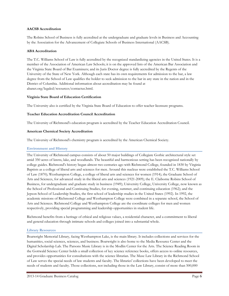# **AACSB Accreditation**

The Robins School of Business is fully accredited at the undergraduate and graduate levels in Business and Accounting by the Association for the Advancement of Collegiate Schools of Business International (AACSB).

#### **ABA Accreditation**

The T.C. Williams School of Law is fully accredited by the recognized standardizing agencies in the United States. It is a member of the Association of American Law Schools; it is on the approved lists of the American Bar Association and the Virginia State Board of Bar Examiners; and its Juris Doctor degree is fully accredited by the Regents of the University of the State of New York. Although each state has its own requirements for admission to the bar, a law degree from the School of Law qualifies the holder to seek admission to the bar in any state in the nation and in the District of Columbia. Additional information about accreditation may be found at abanet.org/legaled/resources/contactus.html.

#### **Virginia State Board of Education Certification**

The University also is certified by the Virginia State Board of Education to offer teacher licensure programs.

#### **Teacher Education Accreditation Council Accreditation**

The University of Richmond's education program is accredited by the Teacher Education Accreditation Council.

#### **American Chemical Society Accreditation**

The University of Richmond's chemistry program is accredited by the American Chemical Society.

# **Environment and History**

The University of Richmond campus consists of about 50 major buildings of Collegiate Gothic architectural style set amid 350 acres of lawns, lake, and woodlands. The beautiful and harmonious setting has been recognized nationally by college guides. Richmond's history began almost two centuries ago with Richmond College, founded in 1830 by Virginia Baptists as a college of liberal arts and sciences for men. Around this nucleus were established the T.C. Williams School of Law (1870); Westhampton College, a college of liberal arts and sciences for women (1914); the Graduate School of Arts and Sciences, for advanced study in the liberal arts and sciences (1921-2009); the E. Claiborne Robins School of Business, for undergraduate and graduate study in business (1949); University College, University College, now known as the School of Professional and Continuing Studies, for evening, summer, and continuing education (1962); and the Jepson School of Leadership Studies, the first school of leadership studies in the United States (1992). In 1992, the academic missions of Richmond College and Westhampton College were combined in a separate school, the School of Arts and Sciences. Richmond College and Westhampton College are the coordinate colleges for men and women respectively, providing special programming and leadership opportunities in student life.

Richmond benefits from a heritage of ethical and religious values, a residential character, and a commitment to liberal and general education through intimate schools and colleges joined into a substantial whole.

#### **Library Resources**

Boatwright Memorial Library, facing Westhampton Lake, is the main library. It includes collections and services for the humanities, social sciences, sciences, and business. Boatwright is also home to the Media Resource Center and the Digital Scholarship Lab. The Parsons Music Library is in the Modlin Center for the Arts. The Science Reading Room in the Gottwald Science Center holds a small collection of key science reference books, offers access to online resources, and provides opportunities for consultations with the science librarian. The Muse Law Library in the Richmond School of Law serves the special needs of law students and faculty. The libraries' collections have been developed to meet the needs of students and faculty. Those collections, not including those in the Law Library, consist of more than 500,000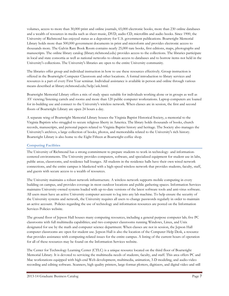volumes, access to more than 30,000 print and online journals, 65,000 electronic books, more than 230 online databases and a wealth of resources in media such as sheet music, DVD, audio CD, microfilm and audio books. Since 1900, the University of Richmond has enjoyed status as a depository for U.S. government publications. Boatwright Memorial Library holds more than 500,000 government documents in print and microform and provides electronic access to thousands more. The Galvin Rare Book Room contains nearly 25,000 rare books, first editions, maps, photographs and manuscripts. The online library catalog (library.richmond.edu) provides access to the collections. The libraries participate in local and state consortia as well as national networks to obtain access to databases and to borrow items not held in the University's collections. The University's libraries are open to the entire University community.

The libraries offer group and individual instruction in how to use these resources effectively. Group instruction is offered in the Boatwright Computer Classroom and other locations. A formal introduction to library services and resources is a part of every First Year seminar. Individual assistance is available in person and online through various means described at library.richmond.edu/help/ask.html.

Boatwright Memorial Library offers a mix of study space suitable for individuals working alone or in groups as well as AV viewing/listening carrels and rooms and more than 120 public computer workstations. Laptop computers are loaned for in-building use and connect to the University's wireless network. When classes are in session, the first and second floors of Boatwright Library are open 24 hours a day.

A separate wing of Boatwright Memorial Library houses the Virginia Baptist Historical Society, a memorial to the Virginia Baptists who struggled to secure religious liberty in America. The library holds thousands of books, church records, manuscripts, and personal papers related to Virginia Baptist history and heritage. The Society also manages the University's archives, a large collection of books, photos, and memorabilia related to the University's rich history. Boatwright Library is also home to the Eight Fifteen at Boatwright coffee shop.

# **Computing Facilities**

The University of Richmond has a strong commitment to prepare students to work in technology- and informationcentered environments. The University provides computers, software, and specialized equipment for student use in labs, public areas, classrooms, and residence hall lounges. All students in the residence halls have their own wired network connections, and the entire campus is blanketed with a high-speed wireless network that provides students, faculty, staff, and guests with secure access to a wealth of resources.

The University maintains a robust network infrastructure. A wireless network supports mobile computing in every building on campus, and provides coverage in most outdoor locations and public gathering spaces. Information Services maintains University-owned systems loaded with up-to-date versions of the latest software tools and anti-virus software. All users must have an active University computer account to log into any lab machine. To help ensure the security of the University systems and network, the University requires all users to change passwords regularly in order to maintain an active account. Policies regarding the use of technology and information resources are posted on the Information Services Policies website.

The ground floor of Jepson Hall houses many computing resources, including a general purpose computer lab; five PC classrooms with full multimedia capabilities; and two computer classrooms running Windows, Linux, and Unix designated for use by the math and computer science department. When classes are not in session, the Jepson Hall computer classrooms are open for student use. Jepson Hall is also the location of the Computer Help Desk, a resource that provides assistance with computing-related issues for the entire campus. A listing of the current hours of operation for all of these resources may be found on the Information Services website.

The Center for Technology Learning Center (CTLC) is a unique resource located on the third floor of Boatwright Memorial Library. It is devoted to servicing the multimedia needs of students, faculty, and staff. This area offers PC and Mac workstations equipped with high-end Web development, multimedia, animation, 3-D modeling, and audio-video recording and editing software. Scanners, high quality printers, large-format plotters, digitizers, and digital video and still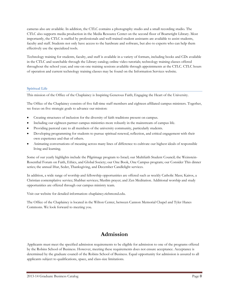cameras also are available. In addition, the CTLC contains a photography studio and a small recording studio. The CTLC also supports media production in the Media Resource Center on the second floor of Boatwright Library. Most importantly, the CTLC is staffed by professionals and well-trained student assistants are available to assist students, faculty and staff. Students not only have access to the hardware and software, but also to experts who can help them effectively use the specialized tools.

Technology training for students, faculty, and staff is available in a variety of formats, including books and CDs available in the CTLC and searchable through the Library catalog; online video tutorials; technology training classes offered throughout the school year; and one-on-one training sessions available through appointments at the CTLC. CTLC hours of operation and current technology training classes may be found on the Information Services website.

# **Spiritual Life**

This mission of the Office of the Chaplaincy is Inspiring Generous Faith; Engaging the Heart of the University.

The Office of the Chaplaincy consists of five full-time staff members and eighteen affiliated campus ministers. Together, we focus on five strategic goals to advance our mission:

- Creating structures of inclusion for the diversity of faith traditions present on campus.
- Including our eighteen partner campus ministries more robustly in the mainstream of campus life.
- Providing pastoral care to all members of the university community, particularly students.
- Developing programming for students to pursue spiritual renewal, reflection, and critical engagement with their own experience and that of others.
- Animating conversations of meaning across many lines of difference to cultivate our highest ideals of responsible living and learning.

Some of our yearly highlights include the Pilgrimage program to Israel; our Multifaith Student Council; the Weinstein-Rosenthal Forum on Faith, Ethics, and Global Society; our One Book, One Campus program; our Consider This dinner series; the annual Iftar, Seder, Thanksgiving, and December Candlelight services.

In addition, a wide range of worship and fellowship opportunities are offered such as weekly Catholic Mass; Kairos, a Christian contemplative service; Shabbat services; Muslim prayer; and Zen Meditation. Additional worship and study opportunities are offered through our campus ministry team.

Visit our website for detailed information: chaplaincy.richmond.edu.

The Office of the Chaplaincy is located in the Wilton Center, between Cannon Memorial Chapel and Tyler Hanes Commons. We look forward to meeting you.

# **Admission**

Applicants must meet the specified admission requirements to be eligible for admission to one of the programs offered by the Robins School of Business. However, meeting these requirements does not ensure acceptance. Acceptance is determined by the graduate council of the Robins School of Business. Equal opportunity for admission is assured to all applicants subject to qualifications, space, and class-size limitations.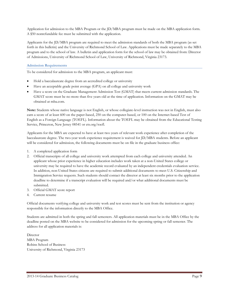Application for admission to the MBA Program or the JD/MBA program must be made on the MBA application form. A \$50 nonrefundable fee must be submitted with the application.

Applicants for the JD/MBA program are required to meet the admission standards of both the MBA program (as set forth in this bulletin) and the University of Richmond School of Law. Applications must be made separately to the MBA program and to the school of law. A bulletin and application form for the school of law may be obtained from: Director of Admissions, University of Richmond School of Law, University of Richmond, Virginia 23173.

# **Admission Requirements**

To be considered for admission to the MBA program, an applicant must:

- Hold a baccalaureate degree from an accredited college or university
- Have an acceptable grade point average (GPA) on all college and university work
- Have a score on the Graduate Management Admission Test (GMAT) that meets current admission standards. The GMAT score must be no more than five years old at the time of application. Information on the GMAT may be obtained at mba.com.

**Note:** Students whose native language is not English, or whose collegiate-level instruction was not in English, must also earn a score of at least 600 on the paper-based, 250 on the computer-based, or 100 on the Internet-based Test of English as a Foreign Language (TOEFL). Information about the TOEFL may be obtained from the Educational Testing Service, Princeton, New Jersey 08541 or ets.org/toefl.

Applicants for the MBA are expected to have at least two years of relevant work experience after completion of the baccalaureate degree. The two-year work experience requirement is waived for JD/MBA students. Before an applicant will be considered for admission, the following documents must be on file in the graduate business office:

- 1. A completed application form
- 2. Official transcripts of all college and university work attempted from each college and university attended. An applicant whose prior experience in higher education includes work taken at a non-United States college or university may be required to have the academic record evaluated by an independent credentials evaluation service. In addition, non-United States citizens are required to submit additional documents to meet U.S. Citizenship and Immigration Service requests. Such students should contact the director at least six months prior to the application deadline to determine if a transcript evaluation will be required and/or what additional documents must be submitted.
- 3. Official GMAT score report
- 4. Current resume

Official documents verifying college and university work and test scores must be sent from the institution or agency responsible for the information directly to the MBA Office.

Students are admitted in both the spring and fall semesters. All application materials must be in the MBA Office by the deadline posted on the MBA website to be considered for admission for the upcoming spring or fall semester. The address for all application materials is:

Director MBA Program Robins School of Business University of Richmond, Virginia 23173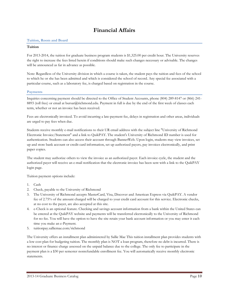# **Financial Affairs**

# **Tuition, Room and Board**

#### **Tuition**

For 2013-2014, the tuition for graduate business program students is \$1,325.00 per credit hour. The University reserves the right to increase the fees listed herein if conditions should make such changes necessary or advisable. The changes will be announced as far in advance as possible.

Note: Regardless of the University division in which a course is taken, the student pays the tuition and fees of the school to which he or she has been admitted and which is considered the school of record. Any special fee associated with a particular course, such as a laboratory fee, is charged based on registration in the course.

#### **Payments**

Inquiries concerning payment should be directed to the Office of Student Accounts, phone (804) 289-8147 or (866) 241- 8893 (toll free) or email at bursar@richmond.edu. Payment in full is due by the end of the first week of classes each term, whether or not an invoice has been received.

Fees are electronically invoiced. To avoid incurring a late-payment fee, delays in registration and other areas, individuals are urged to pay fees when due.

Students receive monthly e-mail notifications to their UR email address with the subject line "University of Richmond Electronic Invoice/Statement" and a link to QuikPAY. The student's University of Richmond ID number is used for authentication. Students can also access their account through BannerWeb. Upon login, students may view invoices, set up and store bank account or credit card information, set up authorized payers, pay invoices electronically, and print paper copies.

The student may authorize others to view the invoice as an authorized payer. Each invoice cycle, the student and the authorized payer will receive an e-mail notification that the electronic invoice has been sent with a link to the QuikPAY login page.

Tuition payment options include:

- 1. Cash
- 2. Check, payable to the University of Richmond
- 3. The University of Richmond accepts MasterCard, Visa, Discover and American Express via QuikPAY. A vendor fee of 2.75% of the amount charged will be charged to your credit card account for this service. Electronic checks, at no cost to the payer, are also accepted at this site.
- 4. e-Check is an optional feature. Checking and savings account information from a bank within the United States can be entered at the QuikPAY website and payments will be transferred electronically to the University of Richmond for no fee. You will have the option to have the site retain your bank account information or you may enter it each time you make an e-Payment.
- 5. tuitionpay.salliemae.com/richmond

The University offers an installment plan administered by Sallie Mae This tuition installment plan provides students with a low cost plan for budgeting tuition. The monthly plan is NOT a loan program, therefore no debt is incurred. There is no interest or finance charge assessed on the unpaid balance due to the college. The only fee to participate in the payment plan is a \$30 per semester nonrefundable enrollment fee. You will automatically receive monthly electronic statements.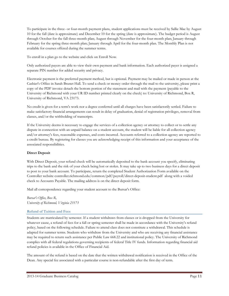To participate in the three- or four-month payment plans, student applications must be received by Sallie Mae by August 10 for the fall (date is approximate) and December 10 for the spring (date is approximate). The budget period is August through October for the fall three-month plan; August through November for the four-month plan; January through February for the spring three-month plan; January through April for the four-month plan. The Monthly Plan is not available for courses offered during the summer terms.

To enroll in a plan go to the website and click on Enroll Now.

Only authorized payers are able to view their own payment and bank information. Each authorized payer is assigned a separate PIN number for added security and privacy.

Electronic payment is the preferred payment method, but is optional. Payment may be mailed or made in person at the Cashier's Office in Sarah Brunet Hall. To send a check or money order through the mail to the university, please print a copy of the PDF invoice detach the bottom portion of the statement and mail with the payment (payable to the University of Richmond with your UR ID number printed clearly on the check) to: University of Richmond, Box R, University of Richmond, VA 23173.

No credit is given for a term's work nor a degree conferred until all charges have been satisfactorily settled. Failure to make satisfactory financial arrangements can result in delay of graduation, denial of registration privileges, removal from classes, and/or the withholding of transcripts.

If the University deems it necessary to engage the services of a collection agency or attorney to collect or to settle any dispute in connection with an unpaid balance on a student account, the student will be liable for all collection agency and/or attorney's fees, reasonable expenses, and costs incurred. Accounts referred to a collection agency are reported to a credit bureau. By registering for classes you are acknowledging receipt of this information and your acceptance of the associated responsibilities.

# **Direct Deposit**

With Direct Deposit, your refund check will be automatically deposited to the bank account you specify, eliminating trips to the bank and the risk of your check being lost or stolen. It may take up to two business days for a direct deposit to post to your bank account. To participate, return the completed Student Authorization Form available on the Controller website controller.richmond.edu/common/pdf/payroll/direct-deposit-student.pdf along with a voided check to Accounts Payable. The mailing address is on the direct deposit form.

Mail all correspondence regarding your student account to the Bursar's Office:

*Bursar's Office, Box R, University of Richmond, Virginia 23173*

# **Refund of Tuition and Fees**

Students are matriculated by semester. If a student withdraws from classes or is dropped from the University for whatever cause, a refund of fees for a fall or spring semester shall be made in accordance with the University's refund policy, based on the following schedule. Failure to attend class does not constitute a withdrawal. This schedule is adapted for summer terms. Students who withdraw from the University and who are receiving any financial assistance may be required to return such assistance per Public Law 668.22 and institutional policy. The University of Richmond complies with all federal regulations governing recipients of federal Title IV funds. Information regarding financial aid refund policies is available in the Office of Financial Aid.

The amount of the refund is based on the date that the written withdrawal notification is received in the Office of the Dean. Any special fee associated with a particular course is non-refundable after the first day of term.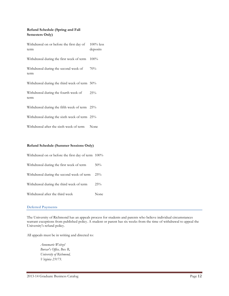# **Refund Schedule (Spring and Fall Semesters Only)**

| Withdrawal on or before the first day of<br>term | $100\%$ less<br>deposits |
|--------------------------------------------------|--------------------------|
| Withdrawal during the first week of term         | 100%                     |
| Withdrawal during the second week of<br>term     | 70%                      |
| Withdrawal during the third week of term 50%     |                          |
| Withdrawal during the fourth week of<br>term     | 25%                      |
| Withdrawal during the fifth week of term 25%     |                          |
| Withdrawal during the sixth week of term 25%     |                          |
| Withdrawal after the sixth week of term          | None                     |

#### **Refund Schedule (Summer Sessions Only)**

| Withdrawal on or before the first day of term 100% |      |
|----------------------------------------------------|------|
| Withdrawal during the first week of term           | 50%  |
| Withdrawal during the second week of term 25%      |      |
| Withdrawal during the third week of term           | 25%  |
| Withdrawal after the third week                    | None |

#### **Deferred Payments**

The University of Richmond has an appeals process for students and parents who believe individual circumstances warrant exceptions from published policy. A student or parent has six weeks from the time of withdrawal to appeal the University's refund policy.

All appeals must be in writing and directed to:

*Annemarie Weitzel Bursar's Office, Box R, University of Richmond, Virginia 23173.*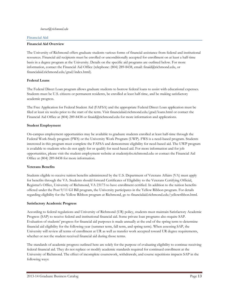#### *bursar@richmond.edu*

#### **Financial Aid**

#### **Financial Aid Overview**

The University of Richmond offers graduate students various forms of financial assistance from federal and institutional resources. Financial aid recipients must be enrolled or unconditionally accepted for enrollment on at least a half-time basis in a degree program at the University. Details on the specific aid programs are outlined below. For more information, contact the Financial Aid Office (telephone: (804) 289-8438, email: finaid@richmond.edu, or financialaid.richmond.edu/grad/index.html).

#### **Federal Loans**

The Federal Direct Loan program allows graduate students to borrow federal loans to assist with educational expenses. Students must be U.S. citizens or permanent residents, be enrolled at least half-time, and be making satisfactory academic progress.

The Free Application for Federal Student Aid (FAFSA) and the appropriate Federal Direct Loan application must be filed at least six weeks prior to the start of the term. Visit financialaid.richmond.edu/grad/loans.html or contact the Financial Aid Office at (804) 289-8438 or finaid@richmond.edu for more information and applications.

#### **Student Employment**

On-campus employment opportunities may be available to graduate students enrolled at least half-time through the Federal Work-Study program (FWS) or the University Work Program (UWP). FWS is a need-based program. Students interested in this program must complete the FAFSA and demonstrate eligibility for need-based aid. The UWP program is available to students who do not apply for or qualify for need-based aid. For more information and for job opportunities, please visit the student employment website at studentjobs.richmond.edu or contact the Financial Aid Office at (804) 289-8438 for more information.

# **Veterans Benefits**

Students eligible to receive tuition benefits administered by the U.S. Department of Veterans Affairs (VA) must apply for benefits through the VA. Students should forward Certificates of Eligibility to the Veterans Certifying Official, Registrar's Office, University of Richmond, VA 23173 to have enrollment certified. In addition to the tuition benefits offered under the Post 9/11 GI Bill program, the University participates in the Yellow Ribbon program. For details regarding eligibility for the Yellow Ribbon program at Richmond, go to financialaid.richmond.edu/yellowribbon.html.

#### **Satisfactory Academic Progress**

According to federal regulations and University of Richmond (UR) policy, students must maintain Satisfactory Academic Progress (SAP) to receive federal and institutional financial aid. Some private loan programs also require SAP. Evaluation of students' progress for financial aid purposes is made annually at the end of the spring term to determine financial aid eligibility for the following year (summer term, fall term, and spring term). When assessing SAP, the University will review all terms of enrollment at UR as well as transfer work accepted toward UR degree requirements, whether or not the student received financial aid during those terms.

The standards of academic progress outlined here are solely for the purpose of evaluating eligibility to continue receiving federal financial aid. They do not replace or modify academic standards required for continued enrollment at the University of Richmond. The effect of incomplete coursework, withdrawals, and course repetitions impacts SAP in the following ways: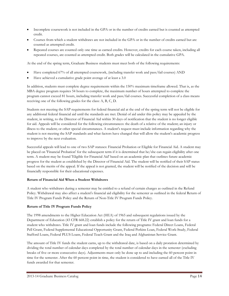- Incomplete coursework is not included in the GPA or in the number of credits earned but is counted as attempted credit.
- Courses from which a student withdraws are not included in the GPA or in the number of credits earned but are counted as attempted credit.
- Repeated courses are counted only one time as earned credits. However, credits for each course taken, including all repeated courses, are counted as attempted credit. Both grades will be calculated in the cumulative GPA.

At the end of the spring term, Graduate Business students must meet both of the following requirements:

- Have completed 67% of all attempted coursework, (including transfer work and pass/fail courses) AND
- Have achieved a cumulative grade point average of at least a 3.0

In addition, students must complete degree requirements within the 150% maximum timeframe allowed. That is, as the MBA degree program requires 54 hours to complete, the maximum number of hours attempted to complete the program cannot exceed 81 hours, including transfer work and pass/fail courses. Successful completion of a class means receiving one of the following grades for the class: A, B, C, D.

Students not meeting the SAP requirements for federal financial aid at the end of the spring term will not be eligible for any additional federal financial aid until the standards are met. Denial of aid under this policy may be appealed by the student, in writing, to the Director of Financial Aid within 30 days of notification that the student is no longer eligible for aid. Appeals will be considered for the following circumstances: the death of a relative of the student; an injury or illness to the student; or other special circumstances. A student's request must include information regarding why the student is not meeting the SAP standards and what factors have changed that will allow the student's academic progress to improve by the next evaluation.

Successful appeals will lead to one of two SAP statuses: Financial Probation or Eligible for Financial Aid. A student may be placed on 'Financial Probation' for the subsequent term if it is determined that he/she can regain eligibility after one term. A student may be found 'Eligible for Financial Aid' based on an academic plan that outlines future academic progress for the student as established by the Director of Financial Aid. The student will be notified of their SAP status based on the merits of the appeal. If the appeal is not granted, the student will be notified of the decision and will be financially responsible for their educational expenses.

# **Return of Financial Aid When a Student Withdraws**

A student who withdraws during a semester may be entitled to a refund of certain charges as outlined in the Refund Policy. Withdrawal may also affect a student's financial aid eligibility for the semester as outlined in the federal Return of Title IV Program Funds Policy and the Return of Non-Title IV Program Funds Policy.

# **Return of Title IV Program Funds Policy**

The 1998 amendments to the Higher Education Act (HEA) of 1965 and subsequent regulations issued by the Department of Education (43 CFR 668.22) establish a policy for the return of Title IV grant and loan funds for a student who withdraws. Title IV grant and loan funds include the following programs: Federal Direct Loans, Federal Pell Grant, Federal Supplemental Educational Opportunity Grant, Federal Perkins Loan, Federal Work-Study, Federal Stafford Loans, Federal PLUS Loans, Federal Teach Grant and the Iraq and Afghanistan Service Grant.

The amount of Title IV funds the student earns, up to the withdrawal date, is based on a daily proration determined by dividing the total number of calendar days completed by the total number of calendar days in the semester (excluding breaks of five or more consecutive days). Adjustments must only be done up to and including the 60 percent point in time for the semester. After the 60 percent point in time, the student is considered to have earned all of the Title IV funds awarded for that semester.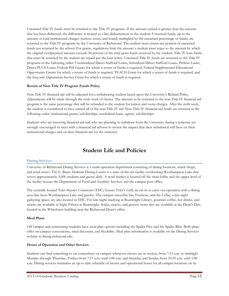Unearned Title IV funds must be returned to the Title IV programs. If the amount earned is greater than the amount that has been disbursed, the difference is treated as a late disbursement to the student. Unearned funds, up to the amount of total institutional charges (tuition, room, and board) multiplied by the unearned percentage of funds, are returned to the Title IV programs by the University of Richmond. The student must return any portion of unearned funds not returned by the school. For grants, regulations limit the amount a student must repay to the amount by which the original overpayment amount exceeds 50 percent of the total grant funds received by the student. Title IV loan funds that must be returned by the student are repaid per the loan terms. Unearned Title IV funds are returned to the Title IV programs in the following order: Unsubsidized Direct Stafford Loans, Subsidized Direct Stafford Loans, Perkins Loans, Direct PLUS Loans, Federal Pell Grants for which a return of funds is required, Federal Supplemental Educational Opportunity Grants for which a return of funds is required, TEACH Grant for which a return of funds is required, and the Iraq and Afghanistan Service Grant for which a return of funds is required.

# **Return of Non-Title IV Program Funds Policy**

Non-Title IV financial aid will be adjusted for a withdrawing student based upon the University's Refund Policy. Adjustments will be made through the sixth week of classes. The amount to be returned to the non-Title IV financial aid program is the same percentage that will be refunded to the student for tuition and room charges. After the sixth week, the student is considered to have earned all of the non-Title IV aid. Non-Title IV financial aid funds are returned in the following order: institutional grants/scholarships, nonfederal loans, agency scholarships.

Students who are receiving financial aid and who are planning to withdraw from the University during a semester are strongly encouraged to meet with a financial aid advisor to review the impact that their withdrawal will have on their institutional charges and on their financial aid for the semester.

# **Student Life and Policies**

# **Dining Services**

University of Richmond Dining Services is a multi-operation department consisting of dining locations, snack shops, and retail stores. The E. Bruce Heilman Dining Center is a state-of-the-art facility overlooking Westhampton Lake that serves approximately 3,000 students and guests daily. A retail market is located off the main lobby and the upper level of the facility houses the Department of Food and Auxiliary Services and the campus post office.

The centrally located Tyler Haynes Commons (THC) houses Tyler's Grill, an eat-in or carry-out operation with a dining area that faces Westhampton Lake and gazebo. The campus smoothie bar, Freshens, and the Cellar, a late-night gathering space, are also located in THC. For late-night studying at Boatwright Library, gourmet coffee, hot drinks, and snacks are available at Eight Fifteen at Boatwright. Sodas, snacks, and grocery items also are available at the Dean's Den, located in the Whitehurst building near the Richmond Dean's office.

# **Meal Plans**

Off campus and commuting students have meal plan options including the Spider Flex and the Spider Blue. Both plans offer on-campus convenience, meal discounts, and flexibility. Meal plan information is available on the Dining Services website at dining.richmond.edu.

# **Hours of Operation and Other Services**

Students can find something to eat somewhere on campus whenever classes are in session, from 7:15 a.m. to midnight Monday through Thursday, Fridays from 7:15 a.m. until 1:00 a.m. and Saturday and Sunday from 10:30 a.m. until 1:00 a.m. Dining services maintains an up-to-date schedule of menus and operational hours for all campus locations on its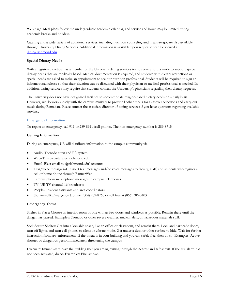Web page. Meal plans follow the undergraduate academic calendar, and service and hours may be limited during academic breaks and holidays.

Catering and a wide variety of additional services, including nutrition counseling and meals-to-go, are also available through University Dining Services. Additional information is available upon request or can be viewed at [dining.richmond.edu.](http://dining.richmond.edu/)

# **Special Dietary Needs**

With a registered dietician as a member of the University dining services team, every effort is made to support special dietary needs that are medically based. Medical documentation is required, and students with dietary restrictions or special needs are asked to make an appointment to see our nutrition professional. Students will be required to sign an informational release so that their situation can be discussed with their physician or medical professional as needed. In addition, dining services may require that students consult the University's physicians regarding their dietary requests.

The University does not have designated facilities to accommodate religion-based dietary needs on a daily basis. However, we do work closely with the campus ministry to provide kosher meals for Passover selections and carry-out meals during Ramadan. Please contact the associate director of dining services if you have questions regarding available services.

# **Emergency Information**

To report an emergency, call 911 or 289-8911 (cell phone). The non-emergency number is 289-8715

# **Getting Information**

During an emergency, UR will distribute information to the campus community via:

- Audio–Tornado siren and PA system
- Web–This website, alert.richmond.edu
- Email–Blast email to '@richmond.edu' accounts
- Text/voice messages–UR Alert text messages and/or voice messages to faculty, staff, and students who register a cell or home phone through BannerWeb
- Campus phones–Telephone messages to campus telephones
- TV–UR TV channel 16 broadcasts
- People–Resident assistants and area coordinators
- Hotline–UR Emergency Hotline: (804) 289-8760 or toll free at (866) 386-0403

# **Emergency Terms**

Shelter in Place: Choose an interior room or one with as few doors and windows as possible. Remain there until the danger has passed. Examples: Tornado or other severe weather, nuclear alert, or hazardous materials spill.

Seek Secure Shelter: Get into a lockable space, like an office or classroom, and remain there. Lock and barricade doors, turn off lights, and turn cell phones to silent or vibrate mode. Get under a desk or other surface to hide. Wait for further instruction from law enforcement. If the threat is in your building and you can safely flee, then do so. Examples: Active shooter or dangerous person immediately threatening the campus.

Evacuate: Immediately leave the building that you are in, exiting through the nearest and safest exit. If the fire alarm has not been activated, do so. Examples: Fire, smoke.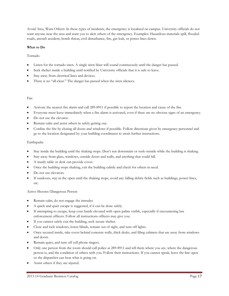Avoid Area, Warn Others: In these types of incidents, the emergency is localized on campus. University officials do not want anyone near the area and want you to alert others of the emergency. Examples: Hazardous materials spill, flooded roads, aircraft accident, bomb threat, civil disturbance, fire, gas leak, or power lines down.

# **What to Do**

# Tornado

- Listen for the tornado siren. A single siren blast will sound continuously until the danger has passed.
- Seek shelter inside a building until notified by University officials that it is safe to leave.
- Stay away from electrical lines and devices.
- There is no "all-clear." The danger has passed when the siren silences.

# Fire

- Activate the nearest fire alarm and call 289-8911 if possible to report the location and cause of the fire.
- Everyone must leave immediately when a fire alarm is activated, even if there are no obvious signs of an emergency.
- Do not use the elevator.
- Remain calm and assist others in safely getting out.
- Confine the fire by closing all doors and windows if possible. Follow directions given by emergency personnel and go to the location designated by your building coordinator to await further instructions.

# Earthquake

- Stay inside the building until the shaking stops. Don't run downstairs or rush outside while the building is shaking.
- Stay away from glass, windows, outside doors and walls, and anything that could fall.
- A sturdy table or desk can provide cover.
- Once the building stops shaking, exit the building calmly and check for others in need.
- Do not use elevators.
- If outdoors, stay in the open until the shaking stops, avoid any falling debris fields such as buildings, power lines, etc.

# Active Shooter/Dangerous Person

- Remain calm, do not engage the intruder.
- A quick and quiet escape is suggested, if it can be done safely.
- If attempting to escape, keep your hands elevated with open palms visible, especially if encountering law enforcement officers. Follow all instructions officers may give you.
- If you cannot safely exit the building, seek secure shelter.
- Close and lock windows, lower blinds, remain out of sight, and turn off lights.
- Once secured inside, take cover behind concrete walls, thick desks, and filing cabinets that are away from windows and doors.
- Remain quiet, and turn off cell phone ringers.
- Only one person from the room should call police at 289-8911 and tell them where you are, where the dangerous person is, and the condition of others with you. Follow their instructions. If you cannot speak, leave the line open so the dispatcher can hear what is going on.
- Assist others if they are injured.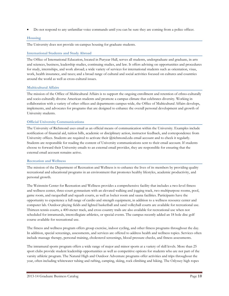• Do not respond to any unfamiliar voice commands until you can be sure they are coming from a police officer.

# **Housing**

The University does not provide on-campus housing for graduate students.

# **International Students and Study Abroad**

The Office of International Education, located in Puryear Hall, serves all students, undergraduate and graduate, in arts and sciences, business, leadership studies, continuing studies, and law. It offers advising on opportunities and procedures for study, internships, and work abroad; a wide variety of services for international students such as orientation, visas, work, health insurance, and taxes; and a broad range of cultural and social activities focused on cultures and countries around the world as well as cross-cultural issues.

# **Multicultural Affairs**

The mission of the Office of Multicultural Affairs is to support the ongoing enrollment and retention of ethno-culturally and socio-culturally diverse American students and promote a campus climate that celebrates diversity. Working in collaboration with a variety of other offices and departments campus-wide, the Office of Multicultural Affairs develops, implements, and advocates for programs that are designed to enhance the overall personal development and growth of University students.

# **Official University Communications**

The University of Richmond uses email as an official means of communication within the University. Examples include notification of financial aid, tuition bills, academic or disciplinary action, instructor feedback, and correspondence from University offices. Students are required to activate their @richmond.edu email account and to check it regularly. Students are responsible for reading the content of University communications sent to their email account. If students choose to forward their University emails to an external email provider, they are responsible for ensuring that the external email account remains active.

# **Recreation and Wellness**

The mission of the Department of Recreation and Wellness is to enhance the lives of its members by providing quality recreational and educational programs in an environment that promotes healthy lifestyles, academic productivity, and personal growth.

The Weinstein Center for Recreation and Wellness provides a comprehensive facility that includes a two-level fitness and wellness center, three-court gymnasium with an elevated walking and jogging track, two multipurpose rooms, pool, game room, and racquetball and squash courts, as well as locker room and sauna facilities. Participants have the opportunity to experience a full range of cardio and strength equipment, in addition to a wellness resource center and computer lab. Outdoor playing fields and lighted basketball and sand volleyball courts are available for recreational use. Thirteen tennis courts, a 400-meter track, and cross country trails are also available for recreational use when not scheduled for intramurals, intercollegiate athletics, or special events. The campus recently added an 18 hole disc golf course available for recreational use.

The fitness and wellness program offers group exercise, indoor cycling, and other fitness programs throughout the day. In addition, special screenings, assessments, and services are offered to address health and wellness topics. Services often include massage therapy, personal training, cholesterol screenings, blood pressure checks, and fitness assessments.

The intramural sports program offers a wide range of major and minor sports at a variety of skill levels. More than 25 sport clubs provide student leadership opportunities as well as competitive options for students who are not part of the varsity athletic program. The Natural High and Outdoor Adventure programs offer activities and trips throughout the year, often including whitewater tubing and rafting, camping, skiing, rock climbing and hiking. The Odyssey high ropes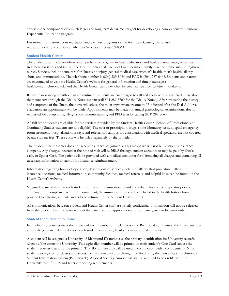course is one component of a much larger and long term departmental goal for developing a comprehensive Outdoor Experiential Education program.

For more information about recreation and wellness programs or the Weinstein Center, please visit recreation.richmond.edu or call Member Services at (804) 289-8361.

# **Student Health Center**

The Student Health Center offers a comprehensive program in health education and health maintenance, as well as treatment for illness and injury. The Health Center staff includes board-certified family practice physicians and registered nurses. Services include acute care for illness and injury, general medical care, women's health, men's health, allergy shots, and immunizations. The telephone number is (804) 289-8064 and FAX is (804) 287-6466. Students and parents are encouraged to visit the Health Center's website for general information and timely messages: healthcenter.richmond.edu and the Health Center can be reached by email at healthcenter@richmond.edu.

Rather than walking in without an appointment, students are encouraged to call and speak with a registered nurse about their concerns through the Dial-A-Nurse system (call 804-289-8700 for the Dial-A-Nurse). After evaluating the history and symptoms of the illness, the nurse will advise the most appropriate treatment. If indicated after the Dial-A-Nurse evaluation, an appointment will be made. Appointments may be made for annual gynecological examinations, doctorrequested follow-up visits, allergy shots, immunizations, and PPD tests by calling (804) 289-8064.

All full time students are eligible for the services provided by the Student Health Center. (School of Professional and Continuing Studies students are not eligible.) The cost of prescription drugs, some laboratory tests, hospital emergency room treatment, hospitalization, x-rays, and referral off campus for consultation with medical specialists are not covered by any student fees. These costs will be billed separately by the provider.

The Student Health Center does not accept insurance assignments. This means we will not bill a patient's insurance company. Any charges incurred at the time of visit will be billed through student accounts or may be paid by check, cash, or Spider Card. The patient will be provided with a medical encounter form itemizing all charges and containing all necessary information to submit for insurance reimbursement.

Information regarding hours of operation, descriptions of services, details of allergy shot procedure, billing and insurance questions, medical information, community facilities, medical referrals, and helpful links can be found on the Health Center's website.

Virginia law mandates that each student submit an immunization record and tuberculosis screening status prior to enrollment. In compliance with this requirement, the immunization record is included in the health history form provided to entering students and is to be returned to the Student Health Center.

All communications between student and Health Center staff are strictly confidential. Information will not be released from the Student Health Center without the patient's prior approval except in an emergency or by court order.

# **Student Identification Number**

In an effort to better protect the privacy of each member of the University of Richmond community, the University uses randomly generated ID numbers of each student, employee, faculty member, and alumnus/a.

A student will be assigned a University of Richmond ID number as the primary identification for University records when he/she enters the University. This eight-digit number will be printed on each student's One-Card (unless the student requests that it not be printed). This ID number also will be used in conjunction with a confidential PIN for students to register for classes and access their academic records through the Web using the University of Richmond's Student Information System (BannerWeb). A Social Security number will still be required to be on file with the University to fulfill IRS and federal reporting requirements.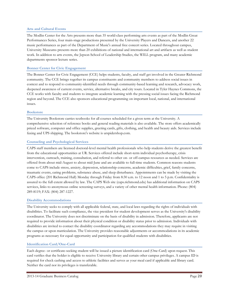#### **Arts and Cultural Events**

The Modlin Center for the Arts presents more than 35 world-class performing arts events as part of the Modlin Great Performances Series, four main-stage productions presented by the University Players and Dancers, and another 22 music performances as part of the Department of Music's annual free concert series. Located throughout campus, University Museums presents more than 20 exhibitions of national and international art and artifacts as well as student work. In addition to arts events, the Jepson School of Leadership Studies, the WILL program, and many academic departments sponsor lecture series.

#### **Bonner Center for Civic Engagement**

The Bonner Center for Civic Engagement (CCE) helps students, faculty, and staff get involved in the Greater Richmond community. The CCE brings together its campus constituents and community members to address social issues in context and to respond to community-identified needs through community-based learning and research, advocacy work, deepened awareness of current events, service, alternative breaks, and city tours. Located in Tyler Haynes Commons, the CCE works with faculty and students to integrate academic learning with the pressing social issues facing the Richmond region and beyond. The CCE also sponsors educational programming on important local, national, and international issues.

#### **Bookstore**

The University Bookstore carries textbooks for all courses scheduled for a given term at the University. A comprehensive selection of reference books and general reading materials is also available. The store offers academically priced software, computer and office supplies, greeting cards, gifts, clothing, and health and beauty aids. Services include faxing and UPS shipping. The bookstore's website is urspidershop.com.

#### **Counseling and Psychological Services**

CAPS staff members are licensed doctoral-level mental health professionals who help students derive the greatest benefit from the educational opportunities at UR. Services offered include short-term individual psychotherapy, crisis intervention, outreach, training, consultation, and referral to other on- or off-campus resources as needed. Services are offered from about mid-August to about mid-June and are available to full-time students. Common reasons students come to CAPS include stress, anxiety, depression, relationship concerns, academic difficulties, grief, family concerns, traumatic events, eating problems, substance abuse, and sleep disturbance. Appointments can be made by visiting the CAPS office (201 Richmond Hall) Monday through Friday from 8:30 a.m. to 12 noon and 1 to 5 p.m. Confidentiality is assured to the full extent allowed by law. The CAPS Web site (caps.richmond.edu) has additional information on CAPS services, links to anonymous online screening surveys, and a variety of other mental health information. Phone: (804) 289-8119; FAX: (804) 287-1227.

#### **Disability Accommodations**

The University seeks to comply with all applicable federal, state, and local laws regarding the rights of individuals with disabilities. To facilitate such compliance, the vice president for student development serves as the University's disability coordinator. The University does not discriminate on the basis of disability in admission. Therefore, applicants are not required to provide information about their physical condition or disability status prior to admission. Individuals with disabilities are invited to contact the disability coordinator regarding any accommodations they may require in visiting the campus or upon matriculation. The University provides reasonable adjustments or accommodations in its academic programs as necessary for equal opportunity and participation for qualified students with disabilities.

# **Identification Card/One-Card**

Each degree- or certificate-seeking student will be issued a picture identification card (One-Card) upon request. This card verifies that the holder is eligible to receive University library and certain other campus privileges. A campus ID is required for check cashing and access to athletic facilities and serves as your meal card if applicable and library card. Neither the card nor its privileges is transferable.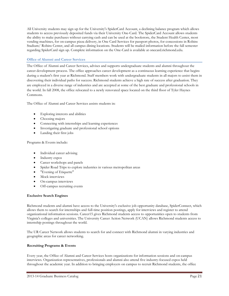All University students may sign up for the University's SpiderCard Account, a declining balance program which allows students to access previously deposited funds via their University One-Card. The SpiderCard Account allows students the ability to make purchases without carrying cash and can be used at the bookstore, the Student Health Center, most vending machines, for on-campus pizza delivery, in One Card Services for passport photos, for concessions in Robins Stadium/ Robins Center, and all campus dining locations. Students will be mailed information before the fall semester regarding SpiderCard sign up. Complete information on the One-Card is available at onecard.richmond.edu.

# **Office of Alumni and Career Services**

The Office of Alumni and Career Services, advises and supports undergraduate students and alumni throughout the career development process. The office approaches career development as a continuous learning experience that begins during a student's first year at Richmond. Staff members work with undergraduate students in all majors to assist them in discovering their individual paths for success. Richmond students achieve a high rate of success after graduation. They are employed in a diverse range of industries and are accepted at some of the best graduate and professional schools in the world. In fall 2008, the office relocated to a newly renovated space located on the third floor of Tyler Haynes Commons.

The Office of Alumni and Career Services assists students in:

- Exploring interests and abilities
- Choosing majors
- Connecting with internships and learning experiences
- Investigating graduate and professional school options
- Landing their first jobs

Programs & Events include:

- Individual career advising
- Industry expos
- Career workshops and panels
- Spider Road Trips to explore industries in various metropolitan areas
- "Evening of Etiquette"
- Mock interviews
- On-campus interviews
- Off-campus recruiting events

# **Exclusive Search Engines**

Richmond students and alumni have access to the University's exclusive job opportunity database, SpiderConnect, which allows them to search for internships and full-time position postings, apply for interviews and register to attend organizational information sessions. Career15 gives Richmond students access to opportunities open to students from Virginia's colleges and universities. The University Career Action Network (UCAN) allows Richmond students access to internship postings throughout the world.

The UR Career Network allows students to search for and connect with Richmond alumni in varying industries and geographic areas for career networking.

# **Recruiting Programs & Events**

Every year, the Office of Alumni and Career Services hosts organizations for information sessions and on-campus interviews. Organization representatives, professionals and alumni also attend five industry-focused expos held throughout the academic year. In addition to bringing employers on campus to recruit Richmond students, the office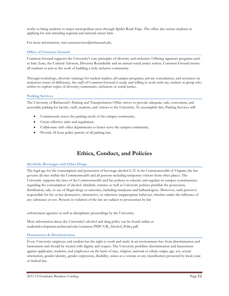works to bring students to major metropolitan areas through Spider Road Trips. The office also assists students in applying for and attending regional and national career fairs.

For more information, visit careerservices@richmond.edu.

# **Office of Common Ground**

Common Ground supports the University's core principles of diversity and inclusion. Offering signature programs such as Safe Zone, the Cultural Advisors, Diversity Roundtable and an annual social justice retreat, Common Ground invites all students to join in the work of building a truly inclusive community.

Through workshops, diversity trainings for student leaders, all-campus programs, private consultation, and resources on numerous issues of difference, the staff of Common Ground is ready and willing to work with any student or group who wishes to explore topics of diversity, community, inclusion, or social justice.

# **Parking Services**

The University of Richmond's Parking and Transportation Office strives to provide adequate, safe, convenient, and accessible parking for faculty, staff, students, and visitors to the University. To accomplish this, Parking Services will:

- Continuously assess the parking needs of the campus community.
- Create effective rules and regulations.
- Collaborate with other departments to better serve the campus community.
- Provide 24-hour police patrols of all parking lots.

# **Ethics, Conduct, and Policies**

# **Alcoholic Beverages and Other Drugs**

The legal age for the consumption and possession of beverage alcohol is 21 in the Commonwealth of Virginia; the law governs all sites within the Commonwealth and all persons including temporary visitors from other places. The University supports the laws of the Commonwealth and has policies to educate and regulate its campus constituencies regarding the consumption of alcohol. Similarly, statutes as well as University policies prohibit the possession, distribution, sale, or use of illegal drugs or narcotics, including marijuana and hallucinogens. Moreover, each person is responsible for his or her destructive, obstructive, or otherwise inappropriate behavior, whether under the influence of any substance or not. Persons in violation of the law are subject to prosecution by law

enforcement agencies as well as disciplinary proceedings by the University.

More information about the University's alcohol and drug policy can be found online at studentdevelopment.richmond.edu/common/PDF/UR\_Alcohol\_Policy.pdf

# **Harassment & Discrimination**

Every University employee and student has the right to work and study in an environment free from discrimination and harassment and should be treated with dignity and respect. The University prohibits discrimination and harassment against applicants, students, and employees on the basis of race, religion, national or ethnic origin, age, sex, sexual orientation, gender identity, gender expression, disability, status as a veteran or any classification protected by local, state or federal law.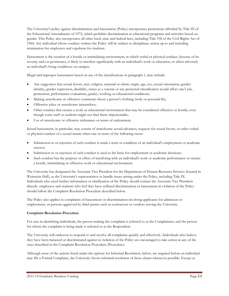The University's policy against discrimination and harassment (Policy) incorporates protections afforded by Title IX of the Educational Amendments of 1972, which prohibits discrimination in educational programs and activities based on gender. This Policy also incorporates all other local, state and federal laws, including Title VII of the Civil Rights Act of 1964. Any individual whose conduct violates the Policy will be subject to disciplinary action up to and including termination for employees and expulsion for students.

Harassment is the creation of a hostile or intimidating environment, in which verbal or physical conduct, because of its severity and/or persistence, is likely to interfere significantly with an individual's work or education, or affect adversely an individual's living conditions on campus.

Illegal and improper harassment based on any of the classifications in paragraph 1, may include:

- Any suggestion that sexual favors, race, religion, national or ethnic origin, age, sex, sexual orientation, gender identity, gender expression, disability, status as a veteran or any protected classification would affect one's job, promotion, performance evaluations, grades, working or educational conditions;
- Making unwelcome or offensive comments about a person's clothing, body or personal life;
- Offensive jokes or unwelcome innuendoes;
- Other conduct that creates a work or educational environment that may be considered offensive or hostile, even though some staff or students might not find them objectionable;
- Use of unwelcome or offensive nicknames or terms of endearment.

Sexual harassment, in particular, may consist of unwelcome sexual advances, requests for sexual favors, or other verbal or physical conduct of a sexual nature when one or more of the following occur:

- Submission to or rejection of such conduct is made a term or condition of an individual's employment or academic success;
- Submission to or rejection of such conduct is used as the basis for employment or academic decisions;
- Such conduct has the purpose or effect of interfering with an individual's work or academic performance or creates a hostile, intimidating or offensive work or educational environment.

The University has designated the Associate Vice President for the Department of Human Resource Services (located in Weinstein Hall), as the University's representative to handle issues arising under the Policy, including Title IX. Individuals who need further information or clarification of the Policy should contact the Associate Vice President directly. employees and students who feel they have suffered discrimination or harassment in violation of the Policy should follow the Complaint Resolution Procedure described below.

The Policy also applies to complaints of harassment or discrimination involving applicants for admission or employment, or persons aggrieved by third parties such as contractors or vendors serving the University.

# **Complaint Resolution Procedure**

For ease in identifying individuals, the person making the complaint is referred to as the Complainant, and the person for whom the complaint is being made is referred to as the Respondent.

The University will endeavor to respond to and resolve all complaints quickly and effectively. Individuals who believe they have been harassed or discriminated against in violation of the Policy are encouraged to take action in any of the ways described in the Complaint Resolution Procedure (Procedure).

Although none of the actions listed under the options for Informal Resolution, below, are required before an individual may file a Formal Complaint, the University favors informal resolution of these claims whenever possible. Except as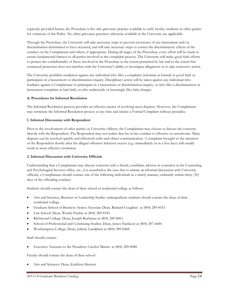expressly provided herein, the Procedure is the only grievance practice available to staff, faculty, students or other parties for violations of the Policy. No other grievance practices otherwise available at the University are applicable.

Through the Procedure, the University will take necessary steps to prevent recurrence of any harassment and/or discrimination determined to have occurred, and will take necessary steps to correct the discriminatory effects of the conduct on the Complainant and others, if appropriate. During all stages of the Procedure, every effort will be made to ensure fundamental fairness to all parties involved in the complaint process. The University will make good faith efforts to protect the confidentiality of those involved in the Procedure to the extent permitted by law and to the extent that continued protection does not interfere with the University's ability to investigate allegations or to take corrective action.

The University prohibits retaliation against any individual who files a complaint (informal or formal) in good faith or participates in a harassment or discrimination inquiry. Disciplinary action will be taken against any individual who retaliates against a Complainant or participant in a harassment or discrimination inquiry, or who files a discrimination or harassment complaint in bad faith, or who maliciously or knowingly files false charges.

# **A. Procedures for Informal Resolution**

The Informal Resolution process provides an effective means of resolving most disputes. However, the Complainant may terminate the Informal Resolution process at any time and initiate a Formal Complaint without prejudice.

# **1. Informal Discussion with Respondent**

Prior to the involvement of other parties or University officers, the Complainant may choose to discuss the concerns directly with the Respondent. The Respondent may not realize that his or her conduct is offensive or unwelcome. Many disputes can be resolved quickly and effectively with such direct communication. A complaint brought to the attention of the Respondent shortly after the alleged offensive behavior occurs (e.g.: immediately or in a few days) will usually result in more effective resolution.

# **2. Informal Discussion with University Officials**

Understanding that a Complainant may discuss concerns with a friend, confidant, advisor or counselor in the Counseling and Psychological Services office, etc., it is nonetheless the case that to initiate an informal discussion with University officials, a Complainant should contact one of the following individuals in a timely manner, ordinarily within thirty (30) days of the offending conduct:

Students should contact the dean of their school or residential college as follows:

- Arts and Sciences, Business or Leadership Studies undergraduate students should contact the dean of their residential college
- Graduate School of Business: Senior Associate Dean, Richard Coughlan at (804) 289-8553
- Law School: Dean, Wendy Purdue at (804) 289-8183
- Richmond College: Dean, Joseph Boehman at (804) 289-8061
- School of Professional and Continuing Studies: Dean, James Narduzzi at (804) 287-6684
- Westhampton College: Dean, Juliette Landphair at (804) 289-8468

# Staff should contact:

• Executive Assistant to the President: Carolyn Martin at (804) 289-8088

Faculty should contact the dean of their school:

• Arts and Sciences: Dean, Kathleen Skerrett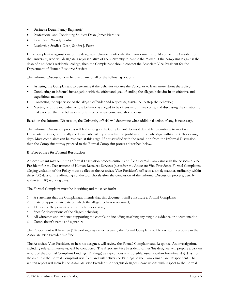- Business: Dean, Nancy Bagranoff
- Professional and Continuing Studies: Dean, James Narduzzi
- Law: Dean, Wendy Perdue
- Leadership Studies: Dean, Sandra J. Peart

If the complaint is against one of the designated University officials, the Complainant should contact the President of the University, who will designate a representative of the University to handle the matter. If the complaint is against the dean of a student's residential college, then the Complainant should contact the Associate Vice President for the Department of Human Resource Services.

The Informal Discussion can help with any or all of the following options:

- Assisting the Complainant to determine if the behavior violates the Policy, or to learn more about the Policy;
- Conducting an informal investigation with the effect and goal of ending the alleged behavior in an effective and expeditious manner;
- Contacting the supervisor of the alleged offender and requesting assistance to stop the behavior;
- Meeting with the individual whose behavior is alleged to be offensive or unwelcome, and discussing the situation to make it clear that the behavior is offensive or unwelcome and should cease.

Based on the Informal Discussion, the University official will determine what additional action, if any, is necessary.

The Informal Discussion process will last as long as the Complainant deems it desirable to continue to meet with University officials, but usually the University will try to resolve the problem at this early stage within ten (10) working days. Most complaints can be resolved at this stage. If not satisfied with the resolution from the Informal Discussion, then the Complainant may proceed to the Formal Complaint process described below.

# **B. Procedures for Formal Resolution**

A Complainant may omit the Informal Discussion process entirely and file a Formal Complaint with the Associate Vice President for the Department of Human Resource Services (hereafter the Associate Vice President). Formal Complaints alleging violation of the Policy must be filed in the Associate Vice President's office in a timely manner, ordinarily within thirty (30) days of the offending conduct, or shortly after the conclusion of the Informal Discussion process, usually within ten (10) working days.

The Formal Complaint must be in writing and must set forth:

- 1. A statement that the Complainant intends that this document shall constitute a Formal Complaint;
- 2. Date or approximate date on which the alleged behavior occurred;
- 3. Identity of the person(s) purportedly responsible;
- 4. Specific descriptions of the alleged behavior;
- 5. All witnesses and evidence supporting the complaint, including attaching any tangible evidence or documentation;
- 6. Complainant's name and signature.

The Respondent will have ten (10) working days after receiving the Formal Complaint to file a written Response in the Associate Vice President's office.

The Associate Vice President, or her/his designee, will review the Formal Complaint and Response. An investigation, including relevant interviews, will be conducted. The Associate Vice President, or her/his designee, will prepare a written report of the Formal Complaint Findings (Findings) as expeditiously as possible, usually within forty-five (45) days from the date that the Formal Complaint was filed, and will deliver the Findings to the Complainant and Respondent. The written report will include the Associate Vice President's or her/his designee's conclusions with respect to the Formal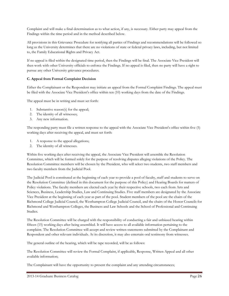Complaint and will make a final determination as to what action, if any, is necessary. Either party may appeal from the Findings within the time period and in the method described below.

All provisions in this Grievance Procedure for notifying all parties of Findings and recommendations will be followed so long as the University determines that there are no violations of state or federal privacy laws, including, but not limited to, the Family Educational Rights and Privacy Act.

If no appeal is filed within the designated time period, then the Findings will be final. The Associate Vice President will then work with other University officials to enforce the Findings. If no appeal is filed, then no party will have a right to pursue any other University grievance procedures.

# **C. Appeal from Formal Complaint Decision**

Either the Complainant or the Respondent may initiate an appeal from the Formal Complaint Findings. The appeal must be filed with the Associate Vice President's office within ten (10) working days from the date of the Findings.

The appeal must be in writing and must set forth:

- 1. Substantive reason(s) for the appeal;
- 2. The identity of all witnesses;
- 3. Any new information.

The responding party must file a written response to the appeal with the Associate Vice President's office within five (5) working days after receiving the appeal, and must set forth:

- 1. A response to the appeal allegations;
- 2. The identity of all witnesses.

Within five working days after receiving the appeal, the Associate Vice President will assemble the Resolution Committee, which will be formed solely for the purpose of resolving disputes alleging violations of the Policy. The Resolution Committee members will be chosen by the President, who will select two students, two staff members and two faculty members from the Judicial Pool.

The Judicial Pool is constituted at the beginning of each year to provide a pool of faculty, staff and students to serve on the Resolution Committee (defined in this document for the purpose of this Policy) and Hearing Boards for matters of Policy violations. The faculty members are elected each year by their respective schools, two each from Arts and Sciences, Business, Leadership Studies, Law and Continuing Studies. Five staff members are designated by the Associate Vice President at the beginning of each year as part of the pool. Student members of the pool are the chairs of the Richmond College Judicial Council, the Westhampton College Judicial Council, and the chairs of the Honor Councils for Richmond and Westhampton Colleges, the Business and Law Schools and the School of Professional and Continuing Studies.

The Resolution Committee will be charged with the responsibility of conducting a fair and unbiased hearing within fifteen (15) working days after being assembled. It will have access to all available information pertaining to the complaint. The Resolution Committee will accept and review written statements submitted by the Complainant and Respondent and other relevant individuals. At its discretion, it may also entertain oral testimony from witnesses.

The general outline of the hearing, which will be tape recorded, will be as follows:

The Resolution Committee will review the Formal Complaint, if applicable, Response, Written Appeal and all other available information;

The Complainant will have the opportunity to present the complaint and any attending circumstances;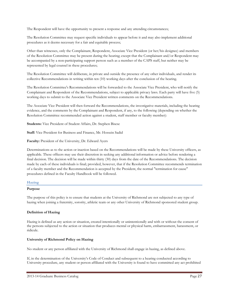The Respondent will have the opportunity to present a response and any attending circumstances;

The Resolution Committee may request specific individuals to appear before it and may also implement additional procedures as it deems necessary for a fair and equitable process;

Other than witnesses, only the Complainant, Respondent, Associate Vice President (or her/his designee) and members of the Resolution Committee may be present during the hearing; except that the Complainant and/or Respondent may be accompanied by a non-participating support person such as a member of the CAPS staff, but neither may be represented by legal counsel in these procedures;

The Resolution Committee will deliberate, in private and outside the presence of any other individuals, and render its collective Recommendations in writing within ten (10) working days after the conclusion of the hearing.

The Resolution Committee's Recommendations will be forwarded to the Associate Vice President, who will notify the Complainant and Respondent of the Recommendations, subject to applicable privacy laws. Each party will have five (5) working days to submit to the Associate Vice President written comments on the Recommendations.

The Associate Vice President will then forward the Recommendations, the investigative materials, including the hearing evidence, and the comments by the Complainant and Respondent, if any, to the following (depending on whether the Resolution Committee recommended action against a student, staff member or faculty member):

**Students:** Vice President of Student Affairs, Dr. Stephen Bisese

**Staff:** Vice President for Business and Finance, Mr. Hossein Sadid

**Faculty:** President of the University, Dr. Edward Ayers

Determinations as to the action or inaction based on the Recommendations will be made by these University officers, as applicable. These officers may use their discretion in seeking any additional information or advice before rendering a final decision. The decision will be made within thirty (30) days from the date of the Recommendations. The decision made by each of these individuals is final; provided, however, that if the Resolution Committee recommends termination of a faculty member and the Recommendation is accepted by the President, the normal "termination for cause" procedures defined in the Faculty Handbook will be followed.

# **Hazing**

# **Purpose**

The purpose of this policy is to ensure that students at the University of Richmond are not subjected to any type of hazing when joining a fraternity, sorority, athletic team or any other University of Richmond sponsored student group.

# **Definition of Hazing**

Hazing is defined as any action or situation, created intentionally or unintentionally and with or without the consent of the persons subjected to the action or situation that produces mental or physical harm, embarrassment, harassment, or ridicule.

# **University of Richmond Policy on Hazing**

No student or any person affiliated with the University of Richmond shall engage in hazing, as defined above.

If, in the determination of the University's Code of Conduct and subsequent to a hearing conducted according to University procedure, any student or person affiliated with the University is found to have committed any act prohibited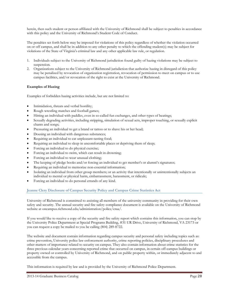herein, then such student or person affiliated with the University of Richmond shall be subject to penalties in accordance with this policy and the University of Richmond's Student Code of Conduct.

The penalties set forth below may be imposed for violations of this policy regardless of whether the violation occurred on or off campus, and shall be in addition to any other penalty to which the offending student(s) may be subject for violations of the State of Virginia's criminal law and any other applicable law rule, or regulation.

- 1. Individuals subject to the University of Richmond jurisdiction found guilty of hazing violations may be subject to suspension.
- 2. Organizations subject to the University of Richmond jurisdiction that authorize hazing in disregard of this policy may be penalized by revocation of organization registration, revocation of permission to meet on campus or to use campus facilities, and/or revocation of the right to exist at the University of Richmond.

# **Examples of Hazing**

Examples of forbidden hazing activities include, but are not limited to:

- Intimidation, threats and verbal hostility;
- Rough wrestling matches and football games;
- Hitting an individual with paddles, even in so-called fun exchanges, and other types of beatings;
- Sexually degrading activities, including stripping, simulation of sexual acts, improper touching, or sexually explicit chants and songs;
- Pressuring an individual to get a brand or tattoo or to shave his or her head;
- Dousing an individual with dangerous substances;
- Requiring an individual to eat unpleasant-tasting food;
- Requiring an individual to sleep in uncomfortable places or depriving them of sleep;
- Forcing an individual to do physical exercise;
- Forcing an individual to swim, which can result in drowning;
- Forcing an individual to wear unusual clothing;
- The keeping of pledge books and/or forcing an individual to get member's or alumni's signatures;
- Requiring an individual to memorize non-essential information;
- Isolating an individual from other group members; or an activity that intentionally or unintentionally subjects an individual to mental or physical harm, embarrassment, harassment, or ridicule;
- Forcing an individual to do personal errands of any kind.

# **Jeanne Clery Disclosure of Campus Security Policy and Campus Crime Statistics Act**

University of Richmond is committed to assisting all members of the university community in providing for their own safety and security. The annual security and fire safety compliance document is available on the University of Richmond website at oncampus.richmond.edu/administration/police/craa/.

If you would like to receive a copy of the security and fire safety report which contains this information, you can stop by the University Police Department at Special Programs Building, #31 UR Drive, University of Richmond, VA 23173 or you can request a copy be mailed to you be calling (804) 289-8722.

The website and document contain information regarding campus security and personal safety including topics such as: crime prevention, University police law enforcement authority, crime reporting policies, disciplinary procedures and other matters of importance related to security on campus. They also contain information about crime statistics for the three previous calendar years concerning reported crime that occurred on campus, in certain off-campus buildings or property owned or controlled by University of Richmond, and on public property within, or immediately adjacent to and accessible from the campus.

This information is required by law and is provided by the University of Richmond Police Department.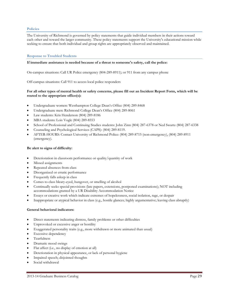#### **Policies**

The University of Richmond is governed by policy statements that guide individual members in their actions toward each other and toward the larger community. These policy statements support the University's educational mission while seeking to ensure that both individual and group rights are appropriately observed and maintained.

#### **Response to Troubled Students**

#### **If immediate assistance is needed because of a threat to someone's safety, call the police:**

On-campus situations: Call UR Police emergency (804-289-8911); or 911 from any campus phone

Off-campus situations: Call 911 to access local police responders

# **For all other types of mental health or safety concerns, please fill out an Incident Report Form, which will be routed to the appropriate office(s):**

- Undergraduate women: Westhampton College Dean's Office (804) 289-8468
- Undergraduate men: Richmond College Dean's Office (804) 289-8061
- Law students: Kris Henderson (804) 289-8186
- MBA students: Lois Vogle (804) 289-8553
- School of Professional and Continuing Studies students: John Zinn (804) 287-6378 or Ned Swartz (804) 287-6338
- Counseling and Psychological Services (CAPS): (804) 289-8119.
- AFTER-HOURS: Contact University of Richmond Police: (804) 289-8715 (non-emergency), (804) 289-8911 (emergency).

#### **Be alert to signs of difficulty:**

- Deterioration in classroom performance or quality/quantity of work
- Missed assignments
- Repeated absences from class
- Disorganized or erratic performance
- Frequently falls asleep in class
- Comes to class bleary-eyed, hungover, or smelling of alcohol
- Continually seeks special provisions (late papers, extensions, postponed examinations); NOT including accommodations granted by a UR Disability Accommodation Notice
- Essays or creative work which indicate extremes of hopelessness, social isolation, rage, or despair
- Inappropriate or atypical behavior in class (e.g., hostile glances; highly argumentative; leaving class abruptly)

#### **General behavioral indicators:**

- Direct statements indicating distress, family problems or other difficulties
- Unprovoked or excessive anger or hostility
- Exaggerated personality traits (e.g., more withdrawn or more animated than usual)
- **Excessive dependency**
- Tearfulness
- Dramatic mood swings
- Flat affect (i.e., no display of emotion at all)
- Deterioration in physical appearance, or lack of personal hygiene
- Impaired speech; disjointed thoughts
- Social withdrawal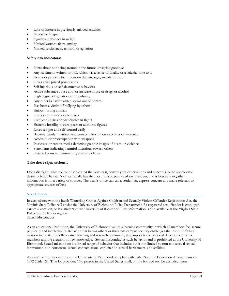- Loss of interest in previously enjoyed activities
- **Excessive fatigue**
- Significant changes in weight
- Marked worries, fears, anxiety
- Marked restlessness, tension, or agitation

# **Safety risk indicators:**

- Hints about not being around in the future, or saying goodbye
- Any statement, written or oral, which has a sense of finality or a suicidal tone to it
- Essays or papers which focus on despair, rage, suicide or death
- Gives away prized possessions
- Self-injurious or self-destructive behaviors
- Active substance abuse and/or increase in use of drugs or alcohol
- High degree of agitation, or impulsivity
- Any other behavior which seems out of control
- Has been a victim of bullying by others
- Enjoys hurting animals
- History of previous violent acts
- Frequently starts or participates in fights
- Extreme hostility toward peers or authority figures
- Loses temper and self-control easily
- Becomes easily frustrated and converts frustration into physical violence
- Access to or preoccupation with weapons
- Possesses or creates media depicting graphic images of death or violence
- Statements indicating harmful intentions toward others
- Detailed plans for committing acts of violence

#### **Take these signs seriously**

Don't disregard what you've observed. At the very least, convey your observations and concerns to the appropriate dean's office. The dean's office usually has the most holistic picture of each student, and is best able to gather information from a variety of sources. The dean's office can call a student in, express concern and make referrals to appropriate sources of help.

#### **Sex Offender**

In accordance with the Jacob Wetterling Crimes Against Children and Sexually Violent Offender Registration Act, the Virginia State Police will advise the University of Richmond Police Department if a registered sex offender is employed, carries a vocation, or is a student at the University of Richmond. This information is also available at the Virginia State Police Sex Offender registry.

Sexual Misconduct

As an educational institution, the University of Richmond values a learning community in which all members feel secure, physically and intellectually. Behavior that harms others or threatens campus security challenges the institution's key mission to "sustain a collaborative learning and research community that supports the personal development of its members and the creation of new knowledge." Sexual misconduct is such behavior and is prohibited at the University of Richmond. Sexual misconduct is a broad range of behavior that includes but is not limited to non-consensual sexual intercourse, non-consensual sexual contact, sexual exploitation, sexual harassment, and stalking.

As a recipient of federal funds, the University of Richmond complies with Title IX of the Education Amendments of 1972 (Title IX). Title IX provides: "No person in the United States shall, on the basis of sex, be excluded from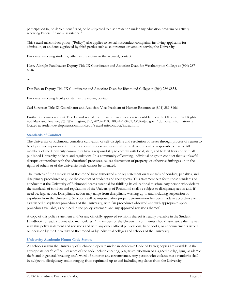participation in, be denied benefits of, or be subjected to discrimination under any education program or activity receiving Federal financial assistance."

This sexual misconduct policy ("Policy") also applies to sexual misconduct complaints involving applicants for admission, or students aggrieved by third parties such as contractors or vendors serving the University.

For cases involving students, either as the victim or the accused, contact:

Kerry Albright Fankhauser Deputy Title IX Coordinator and Associate Dean for Westhampton College at (804) 287- 6646

#### or

Dan Fabian Deputy Title IX Coordinator and Associate Dean for Richmond College at (804) 289-8835.

For cases involving faculty or staff as the victim, contact:

Carl Sorensen Title IX Coordinator and Associate Vice President of Human Resource at (804) 289-8166.

Further information about Title IX and sexual discrimination in education is available from the Office of Civil Rights, 400 Maryland Avenue, SW, Washington, DC, 20202-1100; 800-421-3481; OCR@ed.gov. Additional information is located at studentdevelopment.richmond.edu/sexual-misconduct/index.html.

#### **Standards of Conduct**

The University of Richmond considers cultivation of self-discipline and resolution of issues through process of reason to be of primary importance in the educational process and essential to the development of responsible citizens. All members of the University community have a responsibility to comply with local, state, and federal laws and with all published University policies and regulations. In a community of learning, individual or group conduct that is unlawful disrupts or interferes with the educational processes, causes destruction of property, or otherwise infringes upon the rights of others or of the University itself cannot be tolerated.

The trustees of the University of Richmond have authorized a policy statement on standards of conduct, penalties, and disciplinary procedures to guide the conduct of students and their guests. This statement sets forth those standards of conduct that the University of Richmond deems essential for fulfilling its educational mission. Any person who violates the standards of conduct and regulations of the University of Richmond shall be subject to disciplinary action and, if need be, legal action. Disciplinary action may range from disciplinary warning up to and including suspension or expulsion from the University. Sanctions will be imposed after proper determination has been made in accordance with established disciplinary procedures of the University, with fair procedures observed and with appropriate appeal procedures available, as outlined in the policy statement and any approved revisions thereof.

A copy of this policy statement and/or any officially approved revisions thereof is readily available in the Student Handbook for each student who matriculates. All members of the University community should familiarize themselves with this policy statement and revisions and with any other official publications, handbooks, or announcements issued on occasion by the University of Richmond or by individual colleges and schools of the University.

# **University Academic Honor Code Statute**

All schools within the University of Richmond operate under an Academic Code of Ethics; copies are available in the appropriate dean's office. Breaches of the code include cheating, plagiarism, violation of a signed pledge, lying, academic theft, and in general, breaking one's word of honor in any circumstance. Any person who violates these standards shall be subject to disciplinary action ranging from reprimand up to and including expulsion from the University.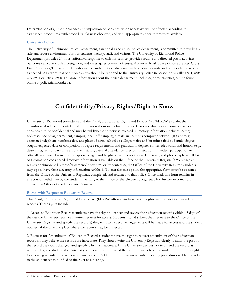Determination of guilt or innocence and imposition of penalties, when necessary, will be effected according to established procedures, with procedural fairness observed, and with appropriate appeal procedures available.

# **University Police**

The University of Richmond Police Department, a nationally accredited police department, is committed to providing a safe and secure environment for our students, faculty, staff, and visitors. The University of Richmond Police Department provides 24-hour uniformed response to calls for service, provides routine and directed patrol activities, performs vehicular crash investigation, and investigates criminal offenses. Additionally, all police officers are Red Cross First Responder/CPR-certified. Uniformed security officers also assist with building security and other calls for service as needed. All crimes that occur on campus should be reported to the University Police in person or by calling 911, (804) 289-8911 or (804) 289-8715. More information about the police department, including crime statistics, can be found online at police.richmond.edu.

# **Confidentiality/Privacy Rights/Right to Know**

University of Richmond procedures and the Family Educational Rights and Privacy Act (FERPA) prohibit the unauthorized release of confidential information about individual students. However, directory information is not considered to be confidential and may be published or otherwise released. Directory information includes: name; addresses, including permanent, campus, local (off-campus), e-mail, and campus computer network (IP) address; associated telephone numbers; date and place of birth; school or college; major and/or minor fields of study; degree sought; expected date of completion of degree requirements and graduation; degrees conferred; awards and honors (e.g., dean's list); full- or part-time enrollment status; dates of attendance; previous institutions attended; participation in officially recognized activities and sports; weight and height of members of an athletic team; and photograph. A full list of information considered directory information is available on the Office of the University Registrar's Web page at registrar.richmond.edu/ferpa/statement/index.html or by contacting the Office of the University Registrar. Students may opt to have their directory information withheld. To exercise this option, the appropriate form must be obtained from the Office of the University Registrar, completed, and returned to that office. Once filed, this form remains in effect until withdrawn by the student in writing to the Office of the University Registrar. For further information, contact the Office of the University Registrar.

# **Rights with Respect to Education Records**

The Family Educational Rights and Privacy Act (FERPA) affords students certain rights with respect to their education records. These rights include:

1. Access to Education Records: students have the right to inspect and review their education records within 45 days of the day the University receives a written request for access. Students should submit their request to the Office of the University Registrar and specify the record(s) they wish to inspect. Arrangements will be made for access and the student notified of the time and place where the records may be inspected.

2. Request for Amendment of Education Records: students have the right to request amendment of their education records if they believe the records are inaccurate. They should write the University Registrar, clearly identify the part of the record they want changed, and specify why it is inaccurate. If the University decides not to amend the record as requested by the student, the University will notify the student of the decision and advise the student of his or her right to a hearing regarding the request for amendment. Additional information regarding hearing procedures will be provided to the student when notified of the right to a hearing.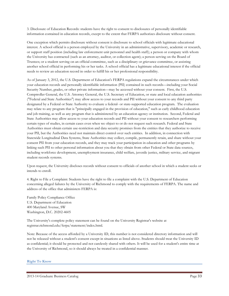3. Disclosure of Education Records: students have the right to consent to disclosures of personally identifiable information contained in education records, except to the extent that FERPA authorizes disclosure without consent.

One exception which permits disclosure without consent is disclosure to school officials with legitimate educational interest. A school official is a person employed by the University in an administrative, supervisory, academic or research, or support staff position (including law enforcement unit personnel and health staff); a person or company with whom the University has contracted (such as an attorney, auditor, or collection agent); a person serving on the Board of Trustees; or a student serving on an official committee, such as a disciplinary or grievance committee, or assisting another school official in performing his or her tasks. A school official has a legitimate educational interest if the official needs to review an education record in order to fulfill his or her professional responsibility.

As of January 3, 2012, the U.S. Department of Education's FERPA regulations expand the circumstances under which your education records and personally identifiable information (PII) contained in such records—including your Social Security Number, grades, or other private information—may be accessed without your consent. First, the U.S. Comptroller General, the U.S. Attorney General, the U.S. Secretary of Education, or state and local education authorities ("Federal and State Authorities") may allow access to your records and PII without your consent to any third party designated by a Federal or State Authority to evaluate a federal- or state-supported education program. The evaluation may relate to any program that is "principally engaged in the provision of education," such as early childhood education and job training, as well as any program that is administered by an education agency or institution. Second, Federal and State Authorities may allow access to your education records and PII without your consent to researchers performing certain types of studies, in certain cases even when we object to or do not request such research. Federal and State Authorities must obtain certain use-restriction and data security promises from the entities that they authorize to receive your PII, but the Authorities need not maintain direct control over such entities. In addition, in connection with Statewide Longitudinal Data Systems, State Authorities may collect, compile, permanently retain, and share without your consent PII from your education records, and they may track your participation in education and other programs by linking such PII to other personal information about you that they obtain from other Federal or State data sources, including workforce development, unemployment insurance, child welfare, juvenile justice, military service, and migrant student records systems.

Upon request, the University discloses records without consent to officials of another school in which a student seeks or intends to enroll.

4. Right to File a Complaint: Students have the right to file a complaint with the U.S. Department of Education concerning alleged failures by the University of Richmond to comply with the requirements of FERPA. The name and address of the office that administers FERPA is:

Family Policy Compliance Office U.S. Department of Education 400 Maryland Avenue, SW Washington, D.C. 20202-4605

The University's complete policy statement can be found on the University Registrar's website at registrar.richmond.edu/ferpa/statement/index.html.

Note: Because of the access afforded by a University ID, this number is not considered directory information and will not be released without a student's consent except in situations as listed above. Students should treat the University ID as confidential; it should be protected and not carelessly shared with others. It will be used for a student's entire time at the University of Richmond, so it should always be treated in a confidential manner.

**Right To Know**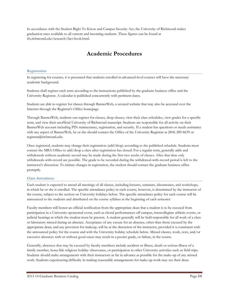In accordance with the Student Right To Know and Campus Security Act, the University of Richmond makes graduation rates available to all current and incoming students. These figures can be found at ifx.richmond.edu/research/fact-book.html.

# **Academic Procedures**

# **Registration**

In registering for courses, it is presumed that students enrolled in advanced-level courses will have the necessary academic background.

Students shall register each term according to the instructions published by the graduate business office and the University Registrar. A calendar is published concurrently with pertinent dates.

Students are able to register for classes through BannerWeb, a secured website that may also be accessed over the Internet through the Registrar's Office homepage.

Through BannerWeb, students can register for classes, drop classes, view their class schedules, view grades for a specific term, and view their unofficial University of Richmond transcript. Students are responsible for all activity on their BannerWeb account including PIN maintenance, registration, and security. If a student has questions or needs assistance with any aspect of BannerWeb, he or she should contact the Office of the University Registrar at (804) 289-8639 or registrar@richmond.edu.

Once registered, students may change their registration (add/drop) according to the published schedule. Students must contact the MBA Office to add/drop a class after registration has closed. For a regular term, generally adds and withdrawals without academic record may be made during the first two weeks of classes. After that time only withdrawals-with-record are possible. The grade to be recorded during the withdrawal-with-record period is left to the instructor's discretion. To initiate changes in registration, the student should contact the graduate business office promptly.

# **Class Attendance**

Each student is expected to attend all meetings of all classes, including lectures, seminars, laboratories, and workshops, in which he or she is enrolled. The specific attendance policy in each course, however, is determined by the instructor of the course, subject to the section on University holidays below. The specific attendance policy for each course will be announced to the students and distributed on the course syllabus at the beginning of each semester.

Faculty members will honor an official notification from the appropriate dean that a student is to be excused from participation in a University-sponsored event, such as choral performances off campus, intercollegiate athletic events, or judicial hearings at which the student must be present. A student generally will be held responsible for all work of a class or laboratory missed during an absence. Acceptance of any excuse for an absence, other than those excused by the appropriate dean, and any provision for makeup, will be at the discretion of the instructor, provided it is consistent with the announced policy for the course and with the University holiday schedule below. Missed classes, work, tests, and/or excessive absences with or without good cause may result in a poorer grade, or failure, in the course.

Generally, absences that may be excused by faculty members include accident or illness, death or serious illness of a family member, bona fide religious holiday observance, or participation in other University activities such as field trips. Students should make arrangements with their instructors as far in advance as possible for the make-up of any missed work. Students experiencing difficulty in making reasonable arrangements for make-up work may see their dean.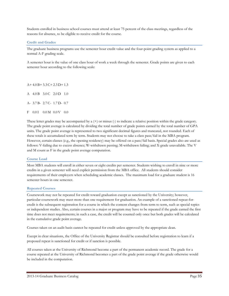Students enrolled in business school courses must attend at least 75 percent of the class meetings, regardless of the reasons for absence, to be eligible to receive credit for the course.

# **Credit and Grades**

The graduate business programs use the semester hour credit value and the four-point grading system as applied to a normal A-F grading scale.

A semester hour is the value of one class hour of work a week through the semester. Grade points are given to each semester hour according to the following scale:

 $A+4.0 B+3.3 C+2.3 D+1.3$ 

A 4.0 B 3.0 C 2.0 D 1.0

A- 3.7 B- 2.7 C- 1.7 D- 0.7

F 0.01 0.0 M 0.0 V 0.0

These letter grades may be accompanied by a  $(+)$  or minus  $(-)$  to indicate a relative position within the grade category. The grade point average is calculated by dividing the total number of grade points earned by the total number of GPA units. The grade point average is represented to two significant decimal figures and truncated, not rounded. Each of these totals is accumulated term by term. Students may not choose to take a class pass/fail in the MBA program. However, certain classes (e.g., the opening residency) may be offered on a pass/fail basis. Special grades also are used as follows: V-failing due to excess absence; W-withdrawn passing; M-withdrawn failing; and X-grade unavailable. The V and M count as F in the grade point average computation.

# **Course Load**

Most MBA students will enroll in either seven or eight credits per semester. Students wishing to enroll in nine or more credits in a given semester will need explicit permission from the MBA office. All students should consider requirements of their employers when scheduling academic classes. The maximum load for a graduate student is 16 semester hours in one semester.

# **Repeated Courses**

Coursework may not be repeated for credit toward graduation except as sanctioned by the University; however, particular coursework may meet more than one requirement for graduation. An example of a sanctioned repeat-forcredit is the subsequent registration for a course in which the content changes from term to term, such as special topics or independent studies. Also, certain courses in a major or program may have to be repeated if the grade earned the first time does not meet requirements; in such a case, the credit will be counted only once but both grades will be calculated in the cumulative grade point average.

Courses taken on an audit basis cannot be repeated for credit unless approved by the appropriate dean.

Except in clear situations, the Office of the University Registrar should be consulted before registration to learn if a proposed repeat is sanctioned for credit or if sanction is possible.

All courses taken at the University of Richmond become a part of the permanent academic record. The grade for a course repeated at the University of Richmond becomes a part of the grade point average if the grade otherwise would be included in the computation.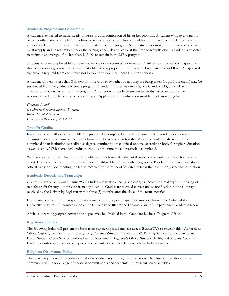# **Academic Progress and Scholarship**

A student is expected to make steady progress toward completion of his or her program. A student who, over a period of 12 months, fails to complete a graduate business course at the University of Richmond, unless completing elsewhere an approved course for transfer, will be terminated from the program. Such a student desiring to return to the program must reapply and be readmitted under the catalog standards applicable at the time of reapplication. A student is expected to maintain an average of no less than B (3.00) to remain in the MBA program.

Students who are employed full-time may take one or two courses per semester. A full-time employee wishing to take three courses in a given semester must first obtain the appropriate form from the Graduate Studies Office. An approval signature is required from each professor before the student can enroll in three courses.

A student who earns less than B in two or more courses (whether or not they are being taken for graduate credit) may be suspended from the graduate business program. A student who earns three Cs, one C and one D, or one F will automatically be dismissed from the program. A student who has been suspended or dismissed may apply for readmission after the lapse of one academic year. Application for readmission must be made in writing to:

# *Graduate Council c/o Director Graduate Business Programs Robins School of Business University of Richmond, VA 23173*

# **Transfer Credits**

It is expected that all work for the MBA degree will be completed at the University of Richmond. Under certain circumstances, a maximum of 9 semester hours may be accepted in transfer. All coursework transferred must be completed at an institution accredited as degree-granting by a recognized regional accrediting body for higher education, as well as an AACSB accredited graduate school, at the time the coursework is completed.

Written approval by the Director must be obtained in advance if a student desires to take work elsewhere for transfer credit. Upon completion of the approved work, credit will be allowed only if a grade of B or better is earned and after an official transcript documenting the fact is received by the MBA office directly from the institution giving the instruction.

# **Academic Records and Transcripts**

Grades are available through BannerWeb. Students may also check grade changes, incomplete makeups and posting of transfer credit throughout the year from any location. Grades are deemed correct unless notification to the contrary is received by the University Registrar within three (3) months after the close of the term specified.

If students need an official copy of the academic record, they can request a transcript through the Office of the University Registrar. All courses taken at the University of Richmond become a part of the permanent academic record.

Advice concerning progress toward the degree may be obtained in the Graduate Business Program Office.

# **Registration Holds**

The following holds will prevent students from registering (students can access BannerWeb to check holds): Admissions Office, Cashier, Dean's Office, Library, Long-Distance (Student Account Hold), Parking Services (Student Account Hold), Student Credit Service, Perkins Loan in Repayment, Registrar's Office, Student Health, and Student Accounts. For further information on these types of holds, contact the office from which the hold originated.

# **Religious Observance Policy**

The University is a secular institution that values a diversity of religious expression. The University is also an active community with a wide range of personal commitments and academic and extracurricular activities.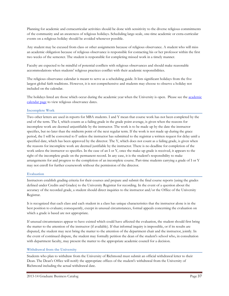Planning for academic and extracurricular activities should be done with sensitivity to the diverse religious commitments of the community and an awareness of religious holidays. Scheduling large-scale, one-time academic or extra-curricular events on a religious holiday should be avoided whenever possible.

Any student may be excused from class or other assignments because of religious observance. A student who will miss an academic obligation because of religious observance is responsible for contacting his or her professor within the first two weeks of the semester. The student is responsible for completing missed work in a timely manner.

Faculty are expected to be mindful of potential conflicts with religious observances and should make reasonable accommodations when students' religious practices conflict with their academic responsibilities.

The religious observance calendar is meant to serve as a scheduling guide. It lists significant holidays from the five largest global faith traditions. However, it is not comprehensive and students may choose to observe a holiday not included on the calendar.

The holidays listed are those which occur during the [academic](http://graduatebusinesscatalog.richmond.edu/student-life/calendar.html) year when the University is open. Please see the academic [calendar page](http://graduatebusinesscatalog.richmond.edu/student-life/calendar.html) to view religious observance dates.

# **Incomplete Work**

Two other letters are used in reports for MBA students. I and Y mean that course work has not been completed by the end of the term. The I, which counts as a failing grade in the grade point average, is given when the reasons for incomplete work are deemed unjustifiable by the instructor. The work is to be made up by the date the instructor specifies, but no later than the midterm point of the next regular term. If the work is not made up during the grace period, the I will be converted to F unless the instructor has submitted to the registrar a written request for delay until a specified date, which has been approved by the director. The Y, which does not count as a failing grade, is given when the reasons for incomplete work are deemed justifiable by the instructor. There is no deadline for completion of the work unless the instructor so specifies. In the case of an I or Y, once the make-up grade is received, it appears to the right of the incomplete grade on the permanent record. In any case, it is the student's responsibility to make arrangements for and progress to the completion of an incomplete course. Part-time students carrying a grade of I or Y may not enroll for further coursework without the permission of the director.

# **Evaluation**

Instructors establish grading criteria for their courses and prepare and submit the final course reports (using the grades defined under Credits and Grades) to the University Registrar for recording. In the event of a question about the accuracy of the recorded grade, a student should direct inquiries to the instructor and/or the Office of the University Registrar.

It is recognized that each class and each student in a class has unique characteristics that the instructor alone is in the best position to evaluate; consequently, except in unusual circumstances, formal appeals concerning the evaluation on which a grade is based are not appropriate.

If unusual circumstances appear to have existed which could have affected the evaluation, the student should first bring the matter to the attention of the instructor (if available). If that informal inquiry is impossible, or if its results are disputed, the student may next bring the matter to the attention of the department chair and the instructor, jointly. In the event of continued dispute, the student may formally petition the dean of the student's school who, in consultation with department faculty, may present the matter to the appropriate academic council for a decision.

# **Withdrawal from the University**

Students who plan to withdraw from the University of Richmond must submit an official withdrawal letter to their Dean. The Dean's Office will notify the appropriate offices of the student's withdrawal from the University of Richmond including the actual withdrawal date.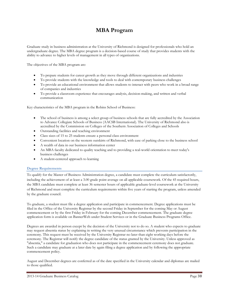# **MBA Program**

Graduate study in business administration at the University of Richmond is designed for professionals who hold an undergraduate degree. The MBA degree program is a decision-based course of study that provides students with the ability to advance to higher levels of management in all types of organizations.

The objectives of the MBA program are:

- To prepare students for career growth as they move through different organizations and industries
- To provide students with the knowledge and tools to deal with contemporary business challenges
- To provide an educational environment that allows students to interact with peers who work in a broad range of companies and industries
- To provide a classroom experience that encourages analysis, decision-making, and written and verbal communication

Key characteristics of the MBA program in the Robins School of Business:

- The school of business is among a select group of business schools that are fully accredited by the Association to Advance Collegiate Schools of Business (AACSB International). The University of Richmond also is accredited by the Commission on Colleges of the Southern Association of Colleges and Schools
- Outstanding facilities and teaching environment
- Class sizes of 15 to 25 students ensure a personal class environment
- Convenient location on the western outskirts of Richmond, with ease of parking close to the business school
- A wealth of data in our business information center
- An MBA faculty dedicated to quality teaching and to providing a real-world orientation to meet today's business challenges
- A student-centered approach to learning

#### **Degree Requirements**

To qualify for the Master of Business Administration degree, a candidate must complete the curriculum satisfactorily, including the achievement of at least a 3.00 grade point average on all applicable coursework. Of the 45 required hours, the MBA candidate must complete at least 36 semester hours of applicable graduate-level coursework at the University of Richmond and must complete the curriculum requirements within five years of starting the program, unless amended by the graduate council.

To graduate, a student must file a degree application and participate in commencement. Degree applications must be filed in the Office of the University Registrar by the second Friday in September for the coming May or August commencement or by the first Friday in February for the coming December commencement. The graduate degree application form is available on BannerWeb under Student Services or in the Graduate Business Programs Office.

Degrees are awarded in person except by the decision of the University not to do so. A student who expects to graduate may request absentia status by explaining in writing the very unusual circumstance which prevents participation in the ceremony. This request must be received by the University Registrar no later than eight working days before the ceremony. The Registrar will notify the degree candidate of the status granted by the University. Unless approved as "absentia," a candidate for graduation who does not participate in the commencement ceremony does not graduate. Such a candidate may graduate at a later date by again filing a degree application and by following the appropriate commencement policy.

August and December degrees are conferred as of the date specified in the University calendar and diplomas are mailed to those qualified.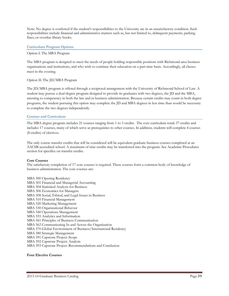Note: No degree is conferred if the student's responsibilities to the University are in an unsatisfactory condition. Such responsibilities include financial and administrative matters such as, but not limited to, delinquent payments, parking fines, or overdue library books.

#### **Curriculum Program Options**

#### Option I: The MBA Program

The MBA program is designed to meet the needs of people holding responsible positions with Richmond-area business organizations and institutions, and who wish to continue their education on a part-time basis. Accordingly, all classes meet in the evening.

#### Option II: The JD/MBA Program

The JD/MBA program is offered through a reciprocal arrangement with the University of Richmond School of Law. A student may pursue a dual-degree program designed to provide its graduates with two degrees, the JD and the MBA, attesting to competency in both the law and in business administration. Because certain credits may count in both degree programs, the student pursuing this option may complete the JD and MBA degrees in less time than would be necessary to complete the two degrees independently.

#### **Courses and Curriculum**

The MBA degree program includes 21 courses ranging from 1 to 3 credits. The core curriculum totals 37 credits and includes 17 courses, many of which serve as prerequisites to other courses. In addition, students will complete 4 courses (8 credits) of electives.

The only course transfer credits that will be considered will be equivalent graduate business courses completed at an AACSB-accredited school. A maximum of nine credits may be transferred into the program. See Academic Procedures section for specifics on transfer credits.

#### **Core Courses**

The satisfactory completion of 17 core courses is required. These courses form a common body of knowledge of business administration. The core courses are:

MBA 500 Opening Residency MBA 501 Financial and Managerial Accounting MBA 504 Statistical Analysis for Business MBA 506 Economics for Managers MBA 508 Social, Ethical, and Legal Issues in Business MBA 510 Financial Management MBA 520 Marketing Management MBA 530 Organizational Behavior MBA 540 Operations Management MBA 555 Analytics and Information MBA 561 Principles of Business Communication MBA 562 Communicating In and Across the Organization MBA 570 Global Environment of Business/International Residency MBA 580 Strategic Management MBA 591 Capstone Project: Scope MBA 592 Capstone Project: Analysis MBA 593 Capstone Project: Recommendations and Conclusion

# **Four Elective Courses**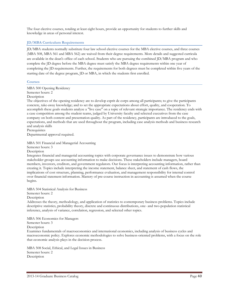The four elective courses, totaling at least eight hours, provide an opportunity for students to further skills and knowledge in areas of personal interest.

# **JD/MBA Curriculum Requirements**

JD/MBA students normally substitute four law school elective courses for the MBA elective courses, and three courses (MBA 508, MBA 561 and MBA 562) are waived from their degree requirements. More details and suggested curricula are available in the dean's office of each school. Students who are pursuing the combined JD/MBA program and who complete the JD degree before the MBA degree must satisfy the MBA degree requirements within one year of completing the JD requirements. Further, the requirements for both degrees must be completed within five years of the starting date of the degree program, JD or MBA, in which the students first enrolled.

#### **Courses**

MBA 500 Opening Residency

Semester hours: 2

Description

The objectives of the opening residency are to develop esprit de corps among all participants; to give the participants concrete, take-away knowledge; and to set the appropriate expectations about effort, quality, and cooperation. To accomplish these goals students analyze a "live case" on a topic of relevant strategic importance. The residency ends with a case competition among the student teams, judged by University faculty and selected executives from the case company on both content and presentation quality. As part of the residency, participants are introduced to the goals, expectations, and methods that are used throughout the program, including case analysis methods and business research and analysis skills Prerequisites

Departmental approval required.

MBA 501 Financial and Managerial Accounting

Semester hours: 3

Description

Integrates financial and managerial accounting topics with corporate governance issues to demonstrate how various stakeholder groups use accounting information to make decisions. These stakeholders include managers, board members, investors, creditors, and government regulators. Our focus is interpreting accounting information, rather than creating it. Topics include interpreting the income statement, balance sheet, and statement of cash flows, the implications of cost structure, planning, performance evaluation, and management responsibility for internal control over financial statement information. Mastery of pre-course instruction in accounting is assumed when the course begins.

MBA 504 Statistical Analysis for Business

Semester hours: 2

Description

Addresses the theory, methodology, and application of statistics to contemporary business problems. Topics include descriptive statistics, probability theory, discrete and continuous distributions, one- and two-population statistical inference, analysis of variance, correlation, regression, and selected other topics.

MBA 506 Economics for Managers

Semester hours: 3

**Description** 

Examines fundamentals of macroeconomics and international economics, including analysis of business cycles and macroeconomic policy. Explores economic methodologies to solve business-oriented problems, with a focus on the role that economic analysis plays in the decision process.

MBA 508 Social, Ethical, and Legal Issues in Business Semester hours: 2 Description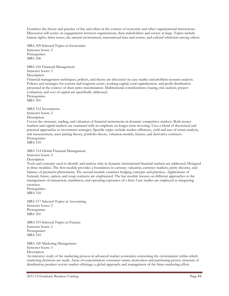Examines the theory and practice of law and ethics in the context of economic and other organizational interactions. Discussion will center on engagements between organizations, their stakeholders and society at large. Topics include human rights, labor issues, the natural environment, international laws and norms, and cultural relativism among others.

MBA 509 Selected Topics in Economics Semester hours: 2 Prerequisites MBA 506

MBA 510 Financial Management Semester hours: 3 **Description** 

Financial management techniques, policies, and theory are discussed via case studies and problem-scenario analysis. Policies and strategies for current and longterm assets, working capital, total capitalization, and profit distribution presented in the context of share price maximization. Multinational considerations, leasing, risk analysis, project evaluation, and cost of capital are specifically addressed.

Prerequisites MBA 501

MBA 512 Investments Semester hours: 2

Description

Covers the structure, trading, and valuation of financial instruments in dynamic competitive markets. Both money markets and capital markets are examined with an emphasis on longer-term investing. Uses a blend of theoretical and practical approaches to investment strategies. Specific topics include market efficiency, yield and rate of return analysis, risk measurement, asset pricing theory, portfolio theory, valuation models, futures, and derivative contracts. **Prerequisites** 

MBA 510

MBA 514 Global Financial Management

Semester hours: 2

Description

Tools and concepts used to identify and analyze risks in dynamic international financial markets are addressed. Designed in three modules. The first module provides a foundation in currency valuation, currency markets, parity theories, and balance of payments phenomena. The second module examines hedging concepts and practices. Applications of forward, future, option, and swap contracts are emphasized. The last module focuses on different approaches to the management of transaction, translation, and operating exposures of a firm. Case studies are employed as integrating exercises.

Prerequisites MBA 510

MBA 517 Selected Topics in Accounting Semester hours: 2 Prerequisites MBA 501

MBA 519 Selected Topics in Finance Semester hours: 2 **Prerequisites** MBA 510

MBA 520 Marketing Management Semester hours: 3 Description

An intensive study of the marketing process in advanced market economies concerning the environment within which marketing decisions are made. Areas of concentration: consumer wants; motivation and purchasing power; structure of distribution; product service market offerings; a global approach; and management of the firms marketing effort.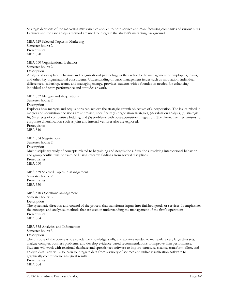Strategic decisions of the marketing mix variables applied to both service and manufacturing companies of various sizes. Lectures and the case analysis method are used to integrate the student's marketing background.

MBA 529 Selected Topics in Marketing Semester hours: 2 Prerequisites MBA 520

MBA 530 Organizational Behavior Semester hours: 2 Description Analysis of workplace behaviors and organizational psychology as they relate to the management of employees, teams, and other key organizational constituents. Understanding of basic management issues such as motivation, individual differences, leadership, teams, and managing change, provides students with a foundation needed for enhancing individual and team performance and attitudes at work.

MBA 532 Mergers and Acquisitions Semester hours: 2 Description Explores how mergers and acquisitions can achieve the strategic growth objectives of a corporation. The issues raised in merger and acquisition decisions are addressed, specifically (1) negotiation strategies, (2) valuation analysis, (3) strategic fit, (4) effects of competitive bidding, and (5) problems with post-acquisition integration. The alternative mechanisms for corporate diversification such as joint and internal ventures also are explored. **Prerequisites** MBA 510 MBA 534 Negotiations Semester hours: 2 **Description** Multidisciplinary study of concepts related to bargaining and negotiations. Situations involving interpersonal behavior and group conflict will be examined using research findings from several disciplines. **Prerequisites** MBA 530 MBA 539 Selected Topics in Management Semester hours: 2 **Prerequisites** MBA 530

MBA 540 Operations Management Semester hours: 3 Description The systematic direction and control of the process that transforms inputs into finished goods or services. It emphasizes the concepts and analytical methods that are used in understanding the management of the firm's operations. Prerequisites MBA 504

MBA 555 Analytics and Information

Semester hours: 3 Description

The purpose of the course is to provide the knowledge, skills, and abilities needed to manipulate very large data sets, analyze complex business problems, and develop evidence-based recommendations to improve firm performance. Students will work with relational database and spreadsheet software to import, structure, cleanse, transform, filter, and analyze data. You will also learn to integrate data from a variety of sources and utilize visualization software to graphically communicate analytical results. Prerequisites

MBA 504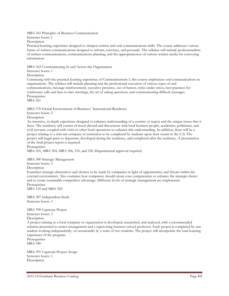MBA 561 Principles of Business Communication

Semester hours: 1

Description

Practical learning experience designed to sharpen written and oral communications skills. The course addresses various forms of written communications designed to inform, convince, and persuade. The syllabus will include professionalism of written communications, communications planning, and the appropriateness of various written media for conveying information.

MBA 562 Communicating In and Across the Organization

Semester hours: 1

**Description** 

Continuing with the practical learning experience of Communications I, this course emphasizes oral communications in organizations. The syllabus will include planning and the professional execution of various types of oral communications, message reinforcement, executive presence, use of humor, styles under stress, best practices for conference calls and face-to-face meetings, the art of asking questions, and communicating difficult messages. Prerequisites

MBA 561

MBA 570 Global Environment of Business/ International Residency

Semester hours: 3

Description

An intensive, in-depth experience designed to enhance understanding of a country or region and the unique issues that it faces. The residency will consist of travel abroad and discussions with local business people, academics, politicians, and civil servants, coupled with visits to other local operations to enhance this understanding. In addition, there will be a project relating to a relevant company or institution to be completed by students upon their return to the U.S. The project will begin prior to departure, developed during the residency, and completed after the residency. A presentation of the final project report is required.

**Prerequisites** 

MBA 501, MBA 504, MBA 506, 510, and 520. Departmental approval required.

MBA 580 Strategic Management

Semester hours: 3

Description

Examines strategic alternatives and choices to be made by companies in light of opportunities and threats within the external environment. Also examines how companies should create core competencies to enhance the strategic choice and to create sustainable competitive advantage. Different levels of strategic management are emphasized. Prerequisites

MBA 510 and MBA 520

MBA 587 Independent Study Semester hours: 3

MBA 590 Capstone Project Semester hours: 3

Description

A project relating to a local company or organization is developed, researched, and analyzed, with a recommended solution presented to senior management and a supervising business school professor. Each project is completed by one student working independently, or occasionally by a team of two students. The project will incorporate the total learning experience of the program.

Prerequisites MBA 580

MBA 591 Capstone Project: Scope Semester hours: 1 Description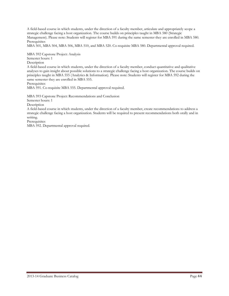A field-based course in which students, under the direction of a faculty member, articulate and appropriately scope a strategic challenge facing a host organization. The course builds on principles taught in MBA 580 (Strategic Management). Please note: Students will register for MBA 591 during the same semester they are enrolled in MBA 580. Prerequisites

MBA 501, MBA 504, MBA 506, MBA 510, and MBA 520. Co-requisite MBA 580. Departmental approval required.

MBA 592 Capstone Project: Analysis

Semester hours: 1

Description

A field-based course in which students, under the direction of a faculty member, conduct quantitative and qualitative analyses to gain insight about possible solutions to a strategic challenge facing a host organization. The course builds on principles taught in MBA 555 (Analytics & Information). Please note: Students will register for MBA 592 during the same semester they are enrolled in MBA 555.

**Prerequisites** 

MBA 591. Co-requisite MBA 555. Departmental approval required.

MBA 593 Capstone Project: Recommendations and Conclusion

Semester hours: 1

Description

A field-based course in which students, under the direction of a faculty member, create recommendations to address a strategic challenge facing a host organization. Students will be required to present recommendations both orally and in writing.

Prerequisites

MBA 592. Departmental approval required.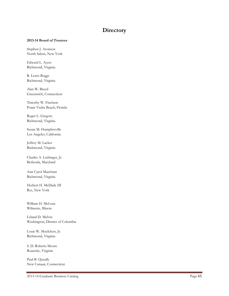# **Directory**

#### **2013-14 Board of Trustees**

Stephen J. Aronson North Salem, New York

Edward L. Ayers Richmond, Virginia

R. Lewis Boggs Richmond, Virginia

Alan W. Breed Greenwich, Connecticut

Timothy W. Finchem Ponte Vedra Beach, Florida

Roger L. Gregory Richmond, Virginia

Susan M. Humphreville Los Angeles, California

Jeffrey M. Lacker Richmond, Virginia

Charles A. Ledsinger, Jr. Bethesda, Maryland

Ann Carol Marchant Richmond, Virginia

Herbert H. McDade III Rye, New York

William H. McLean Wilmette, Illinois

Leland D. Melvin Washington, District of Columbia

Louis W. Moelchert, Jr. Richmond, Virginia

S. D. Roberts Moore Roanoke, Virginia

Paul B. Queally New Canaan, Connecticut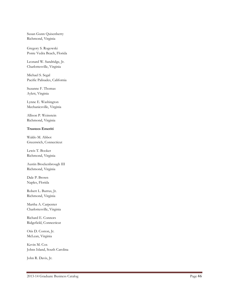Susan Gunn Quisenberry Richmond, Virginia

Gregory S. Rogowski Ponte Vedra Beach, Florida

Leonard W. Sandridge, Jr. Charlottesville, Virginia

Michael S. Segal Pacific Palisades, California

Suzanne F. Thomas Aylett, Virginia

Lynne E. Washington Mechanicsville, Virginia

Allison P. Weinstein Richmond, Virginia

# **Trustees Emeriti**

Waldo M. Abbot Greenwich, Connecticut

Lewis T. Booker Richmond, Virginia

Austin Brockenbrough III Richmond, Virginia

Dale P. Brown Naples, Florida

Robert L. Burrus, Jr. Richmond, Virginia

Martha A. Carpenter Charlottesville, Virginia

Richard E. Connors Ridgefield, Connecticut

Otis D. Coston, Jr. McLean, Virginia

Kevin M. Cox Johns Island, South Carolina

John R. Davis, Jr.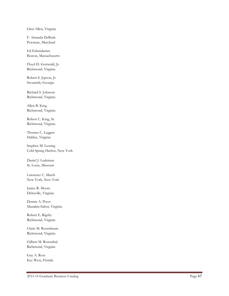Glen Allen, Virginia

F. Amanda DeBusk Potomac, Maryland

Ed Eskandarian Boston, Massachusetts

Floyd D. Gottwald, Jr. Richmond, Virginia

Robert S. Jepson, Jr. Savannah, Georgia

Richard S. Johnson Richmond, Virginia

Allen B. King Richmond, Virginia

Robert C. King, Sr. Richmond, Virginia

Thomas C. Leggett Halifax, Virginia

Stephen M. Lessing Cold Spring Harbor, New York

Daniel J. Ludeman St. Louis, Missouri

Lawrence C. Marsh New York, New York

Janice R. Moore Deltaville, Virginia

Dennis A. Pryor Manakin -Sabot, Virginia

Robert E. Rigsby Richmond, Virginia

Claire M. Rosenbaum Richmond, Virginia

Gilbert M. Rosenthal Richmond, Virginia

Guy A. Ross Key West, Florida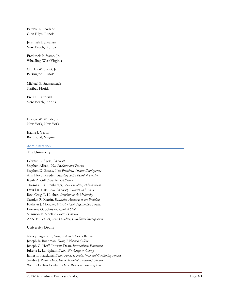Patricia L. Rowland Glen Ellyn, Illinois

Jeremiah J. Sheehan Vero Beach, Florida

Frederick P. Stamp, Jr. Wheeling, West Virginia

Charles W. Sweet, Jr. Barrington, Illinois

Michael E. Szymanczyk Sanibel, Florida

Fred T. Tattersall Vero Beach, Florida

George W. Wellde, Jr. New York, New York

Elaine J. Yeatts Richmond, Virginia

# **Administration**

# **The University**

Edward L. Ayers, *President* Stephen Allred, *Vice President and Provost* Stephen D. Bisese, *Vice President, Student Development* Ann Lloyd Breeden, *Secretary to the Board of Trustees* Keith A. Gill, *Director of Athletics* Thomas C. Gutenberger, *Vice President, Advancement* David B. Hale, *Vice President, Business and Finance* Rev. Craig T. Kocher, *Chaplain to the University* Carolyn R. Martin, *Executive Assistant to the President* Kathryn J. Monday, *Vice President, Information Services* Lorraine G. Schuyler, *Chief of Staff* Shannon E. Sinclair, *General Counsel* Anne E. Tessier, *Vice President, Enrollment Management*

# **University Deans**

Nancy Bagranoff, *Dean, Robins School of Business* Joseph R. Boehman, *Dean, Richmond College* Joseph G. Hoff, Interim Dean*, International Education* Juliette L. Landphair, *Dean, Westhampton College* James L. Narduzzi, *Dean, School of Professional and Continuing Studies* Sandra J. Peart, *Dean, Jepson School of Leadership Studies* Wendy Collins Perdue, *Dean, Richmond School of Law*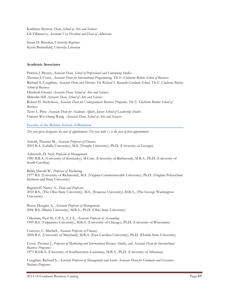Kathleen Skerrett, *Dean, School of Arts and Sciences* Gil Villanueva, *Assistant Vice President and Dean of Admission*

Susan D. Breeden, *University Registrar* Kevin Butterfield, *University Librarian*

#### **Academic Associates**

Patricia J. Brown, *Associate Dean, School of Professional and Continuing Studies* Thomas J. Cosse, *Associate Dean for International Programming, The E. Claiborne Robins School of Business* Richard S. Coughlan, *Associate Dean and Director, The Richard S. Reynolds Graduate School, The E. Claiborne Robins School of Business* Elisabeth Gruner *Associate Dean, School of Arts and Sciences* Malcolm Hill *Associate Dean, School of Arts and Sciences* Robert H. Nicholson, *Associate Dean for Undergraduate Business Programs, The E. Claiborne Robins School of Business* Terry L. Price *Associate Dean for Academic Affairs, Jepson School of Leadership Studies* Vincent Wei-cheng Wang *Associate Dean, School of Arts and Sciences*

**Faculty of the Robins School of Business**

*The year given designates the year of appointment. The year with ( ) is the year of first appointment.*

Arnold, Thomas M., *Associate Professor of Finance;* 2003 B.A. (LaSalle University), M.S. (Temple University), Ph.D. (University of Georgia)

Ashworth, D. Neil, *Professor of Management;* 1981 B.B.A. (University of Kentucky), M.Com. (University of Richmond), M.B.A., Ph.D. (University of South Carolina)

Babb, Harold W., *Professor of Marketing;* 1977 B.S. (University of Richmond), M.S. (Virginia Commonwealth University), Ph.D. (Virginia Polytechnic Institute and State University)

Bagranoff, Nancy A., *Dean and Professor;* 2010 B.S., (The Ohio State University), M.S., (Syracuse University), D.B.A., (The George Washington University)

Bosse, Douglas A., *Assistant Professor of Management;* 2006 B.S. (Miami University), M.B.A., Ph.D. (Ohio State University)

Clikeman, Paul M., C.P.A., C.I.A., *Associate Professor of Accounting;* 1995 B.S. (Valparaiso University), M.B.A. (University of Chicago), Ph.D. (University of Wisconsin)

Conover, C. Mitchell, *Associate Professor of Finance;* 2000 B.A. (University of Maryland), M.B.A. (East Carolina University), Ph.D. (Florida State University)

Cossé, Thomas J., *Professor of Marketing and International Business Studies, and Associate Dean for International Business Programs:* 1975 B.S.B.A. (University of Southwestern Louisiana), M.B.A., Ph.D. (University of Arkansas)

Coughlan, Richard S., *Associate Professor of Management and Senior Associate Dean for Graduate and Executive Business Programs:*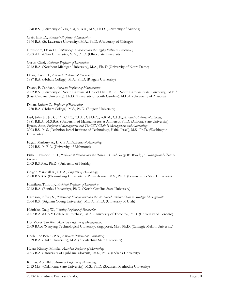1998 B.S. (University of Virginia), M.B.A., M.S., Ph.D. (University of Arizona)

Craft, Erik D., *Associate Professor of Economics;* 1994 B.A. (St. Lawrence University), M.A., Ph.D. (University of Chicago)

Croushore, Dean D., *Professor of Economics and the Rigsby Fellow in Economics;* 2003 A.B. (Ohio University), M.A., Ph.D. (Ohio State University)

Curtis, Chad, *Assistant Professor of Economics;* 2012 B.A. (Northern Michigan University), M.A., Ph. D (University of Notre Dame)

Dean, David H., *Associate Professor of Economics;* 1987 B.A. (Hobart College), M.A., Ph.D. (Rutgers University)

Deans, P. Candace, *Associate Professor of Management;* 2002 B.S. (University of North Carolina at Chapel Hill), M.Ed. (North Carolina State University), M.B.A. (East Carolina University), Ph.D. (University of South Carolina), M.L.A. (University of Arizona)

Dolan, Robert C., *Professor of Economics;* 1980 B.A. (Hobart College), M.S., Ph.D. (Rutgers University)

Earl, John H., Jr., C.F.A., C.I.C., C.L.U., C.H.F.C., A.R.M., C.F.P., *Associate Professor of Finance;* 1981 B.B.A., M.S.B.A. (University of Massachusetts at Amherst), Ph.D. (Arizona State University) Eynan, Amit, *Professor of Management and The CSX Chair in Management and Accounting;* 2003 B.S., M.S. (Technion-Israel Institute of Technology, Haifa, Israel), M.S., Ph.D. (Washington University)

Fagan, Marbury A., II, C.P.A., *Instructor of Accounting;* 1994 B.S., M.B.A. (University of Richmond)

Fishe, Raymond P. H., *Professor of Finance and the Patricia A. and George W. Wellde, Jr. Distinguished Chair in Finance;* 2003 B.S.B.A., Ph.D. (University of Florida)

Geiger, Marshall A., C.P.A., *Professor of Accounting;* 2000 B.S.B.A. (Bloomsburg University of Pennsylvania), M.S., Ph.D. (Pennsylvania State University)

Hamilton, Timothy, *Assistant Professor of Economics;* 2012 B.A. (Bentley University), Ph.D. (North Carolina State University)

Harrison, Jeffrey S., *Professor of Management and the W. David Robbins Chair in Strategic Management;* 2004 B.S. (Brigham Young University), M.B.A., Ph.D. (University of Utah)

Heinicke, Craig W., *Visiting Professor of Economics* 2007 B.A. (SUNY College at Purchase), M.A. (University of Toronto), Ph.D. (University of Toronto)

Ho, Violet Tzu Wei, *Associate Professor of Management;* 2009 BAcc (Nanyang Technological University, Singapore), M.S., Ph.D. (Carnegie Mellon University)

Hoyle, Joe Ben, C.P.A., *Associate Professor of Accounting;* 1979 B.A. (Duke University), M.A. (Appalachian State University)

Kukar-Kinney, Monika, *Associate Professor of Marketing;* 2003 B.A. (University of Ljubljana, Slovenia), M.S., Ph.D. (Indiana University)

Kumas, Abdullah, *Assistant Professor of Accounting;* 2013 M.S. (Oklahoma State University), M.S., Ph.D. (Southern Methodist University)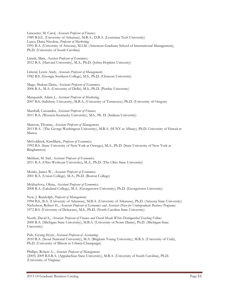Lancaster, M. Carol, *Associate Professor of Finance;* 1989 B.S.E. (University of Arkansas), M.B.A., D.B.A. (Louisiana Tech University) Lascu, Dana-Nicoleta, *Professor of Marketing;* 1991 B.A. (University of Arizona), M.I.M. (American Graduate School of International Management), Ph.D. (University of South Carolina)

Linask, Maia, *Assistan Professor of Economics;* 2012 B.A. (Harvard University), M.A., Ph.D. (Johns Hopkins Univesity)

Litteral, Lewis Andy, *Associate Professor of Management;* 1982 B.S. (Georgia Southern College), M.S., Ph.D. (Clemson University)

Mago, Shakun Datta, *Assistant Professor of Economics;* 2006 B.A., M.A. (University of Delhi), M.S., Ph.D. (Purdue University)

Marquardt, Adam J., *Assistant Professor of Marketing,* 2007 B.S. (Salisbury University), M.B.A. (University of Tennessee), Ph.D. (University of Oregon)

Marshall, Cassandra, *Assistant Professor of Finance;*  2011 B.A. (Western Kentucky University), M.S., Ph. D. (Indiana University)

Mattson, Thomas, *Assistant Professor of Management;* 2013 B.A. (The George Washington University), M.B.A. (SUNY at Albany), Ph.D. University of Hawaii at Manoa

McGoldrick, KimMarie, *Professor of Economics;* 1992 B.S. (State University of New York at Oswego), M.A., Ph.D. (State University of New York at Binghamton)

Mehkari, M. Saif, *Assistant Professor of Economics;* 2011 B.A. (Ohio Wesleyan University), M.A., Ph.D. (The Ohio State University)

Monks, James W., *Associate Professor of Economics;* 2001 B.A. (Union College), M.A., Ph.D. (Boston College)

Mykhaylova, Olena, *Assistant Professor of Economics;* 2008 B.A. (Lakeland College), M.A. (Georgetown University), Ph.D. (Georgetown University)

New, J. Randolph, *Professor of Management;*

1994 B.S., B.A. (University of Arkansas), M.B.A. (University of Arkansas), Ph.D. (Arizona State University) Nicholson, Robert H., *Associate Professor of Economics and Associate Dean for Undergraduate Business Programs;* 1972 B.S. (University of Delaware), M.S., Ph.D. (North Carolina State University)

North, David S., *Associate Professor of Finance and David Meade White Distinguished Teaching Fellow;* 2000 B.A. (Michigan State University), M.B.A. (University of Notre Dame), Ph.D. (Michigan State University)

Paik, Gyung Hyun, *Assistant Professor of Accounting;* 2010 B.A. (Seoul National University), M.A. (Brigham Young University), M.B.A. (University of Utah), Ph.D. (University of Illinois at Urbana-Champaign)

Phillips, Robert A., *Associate Professor of Management;* (2005) 2009 B.S.B.A. (Appalachian State University), M.B.A. (University of South Carolina), Ph.D. (University of Virginia)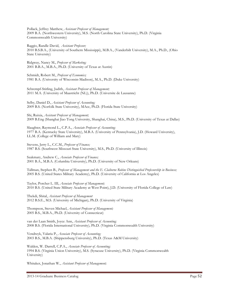Pollack, Jeffrey Matthew, *Assistant Professor of Management;* 2009 B.A. (Northwestern University), M.S. (North Carolina State University), Ph.D. (Virginia Commonwealth University)

Raggio, Randle David, *Assistant Professor;* 2010 B.S.B.A., (University of Southern Mississippi), M.B.A., (Vanderbilt University), M.A., Ph.D., (Ohio State University)

Ridgway, Nancy M., *Professor of Marketing;* 2001 B.B.A., M.B.A., Ph.D. (University of Texas at Austin)

Schmidt, Robert M., *Professor of Economics;* 1981 B.A. (University of Wisconsin-Madison), M.A., Ph.D. (Duke University)

Schrempf-Stirling, Judith, *Assistant Professor of Management;*  2011 M.A. (University of Maastricht (NL)), Ph.D. (Universite de Lausanne)

Selby, Daniel D., *Assistant Professor of Accounting;* 2009 B.S. (Norfolk State University), MAcc, Ph.D. (Florida State University)

Shi, Ruixia, *Assistant Professor of Management;* 2009 B.Eng (Shanghai Jiao Tong University, Shanghai, China), M.S., Ph.D. (University of Texas at Dallas)

Slaughter, Raymond L., C.P.A., *Associate Professor of Accounting;* 1977 B.A. (Kentucky State University), M.B.A. (University of Pennsylvania), J.D. (Howard University), LL.M. (College of William and Mary)

Stevens, Jerry L., C.C.M., *Professor of Finance;* 1987 B.S. (Southwest Missouri State University), M.S., Ph.D. (University of Illinois)

Szakmary, Andrew C., *Associate Professor of Finance;* 2001 B.A., M.B.A. (Columbia University), Ph.D. (University of New Orleans)

Tallman, Stephen B., *Professor of Management and the E. Claiborne Robins Distinguished Professorship in Business;* 2005 B.S. (United States Military Academy), Ph.D. (University of California at Los Angeles)

Taylor, Porcher L. III, *Associate Professor of Management;* 2010 B.S. (United State Military Academy at West Point), J.D. (University of Florida College of Law)

Thekdi, Shital, *Assistant Professor of Management* 2012 B.S.E., M.S. (University of Michigan), Ph.D. (University of Virginia)

Thompson, Steven Michael, *Assistant Professor of Management;* 2005 B.S., M.B.A., Ph.D. (University of Connecticut)

van der Laan Smith, Joyce Ann, *Assistant Professor of Accounting;* 2008 B.S. (Florida International University), Ph.D. (Virginia Commonwealth University)

Vendrzyk, Valaria P., *Associate Professor of Accounting;* 2003 B.S., M.B.A. (Shippensburg University), Ph.D. (Texas A&M University)

Walden, W. Darrell, C.P.A., *Associate Professor of Accounting;* 1994 B.S. (Virginia Union University), M.S. (Syracuse University), Ph.D. (Virginia Commonwealth University)

Whitaker, Jonathan W., *Assistant Professor of Management;*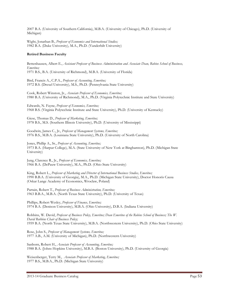2007 B.A. (University of Southern California), M.B.A. (University of Chicago), Ph.D. (University of Michigan)

Wight, Jonathan B., *Professor of Economics and International Studies;* 1982 B.A. (Duke University), M.A., Ph.D. (Vanderbilt University)

# **Retired Business Faculty**

Bettenhausen, Albert E., *Assistant Professor of Business Administration and Associate Dean, Robins School of Business, Emeritus;* 1971 B.S., B.A. (University of Richmond), M.B.A. (University of Florida)

Bird, Francis A., C.P.A., *Professor of Accounting, Emeritus;* 1972 B.S. (Drexel University), M.S., Ph.D. (Pennsylvania State University)

Cook, Robert Winston, Jr., *Associate Professor of Economics, Emeritus;* 1980 B.A. (University of Richmond), M.A., Ph.D. (Virginia Polytechnic Institute and State University)

Edwards, N. Fayne, *Professor of Economics, Emeritus;* 1968 B.S. (Virginia Polytechnic Institute and State University), Ph.D. (University of Kentucky)

Giese, Thomas D., *Professor of Marketing, Emeritus;* 1978 B.S., M.S. (Southern Illinois University), Ph.D. (University of Mississippi)

Goodwin, James C., Jr., *Professor of Management Systems, Emeritus;* 1976 B.S., M.B.A. (Louisiana State University), Ph.D. (University of North Carolina)

Jones, Phillip A., Sr., *Professor of Accounting, Emeritus;* 1973 B.A. (Harpur College), M.A. (State University of New York at Binghamton), Ph.D. (Michigan State University)

Jung, Clarence R., Jr., *Professor of Economics, Emeritus;* 1966 B.A. (DePauw University), M.A., Ph.D. (Ohio State University)

King, Robert L., *Professor of Marketing and Director of International Business Studies, Emeritus;* 1990 B.B.A. (University of Georgia), M.A., Ph.D. (Michigan State University), Doctor Honoris Causa (Oskar Lange Academy of Economics, Wroclaw, Poland)

Partain, Robert T., *Professor of Business Administration, Emeritus;* 1963 B.B.A., M.B.A. (North Texas State University), Ph.D. (University of Texas)

Phillips, Robert Wesley, *Professor of Finance, Emeritus;* 1974 B.A. (Denison University), M.B.A. (Ohio University), D.B.A. (Indiana University)

Robbins, W. David, *Professor of Business Policy, Emeritus; Dean Emeritus of the Robins School of Business; The W. David Robbins Chair of Business Policy;* 1959 B.A. (North Texas State University), M.B.A. (Northwestern University), Ph.D. (Ohio State University)

Rose, John S., *Professor of Management Systems, Emeritus;* 1977 A.B., A.M. (University of Michigan), Ph.D. (Northwestern University)

Sanborn, Robert H., *Associate Professor of Accounting, Emeritus;* 1988 B.A. (Johns Hopkins University), M.B.A. (Boston University), Ph.D. (University of Georgia)

Weisenberger, Terry M., *Associate Professor of Marketing, Emeritus;* 1977 B.S., M.B.A., Ph.D. (Michigan State University)